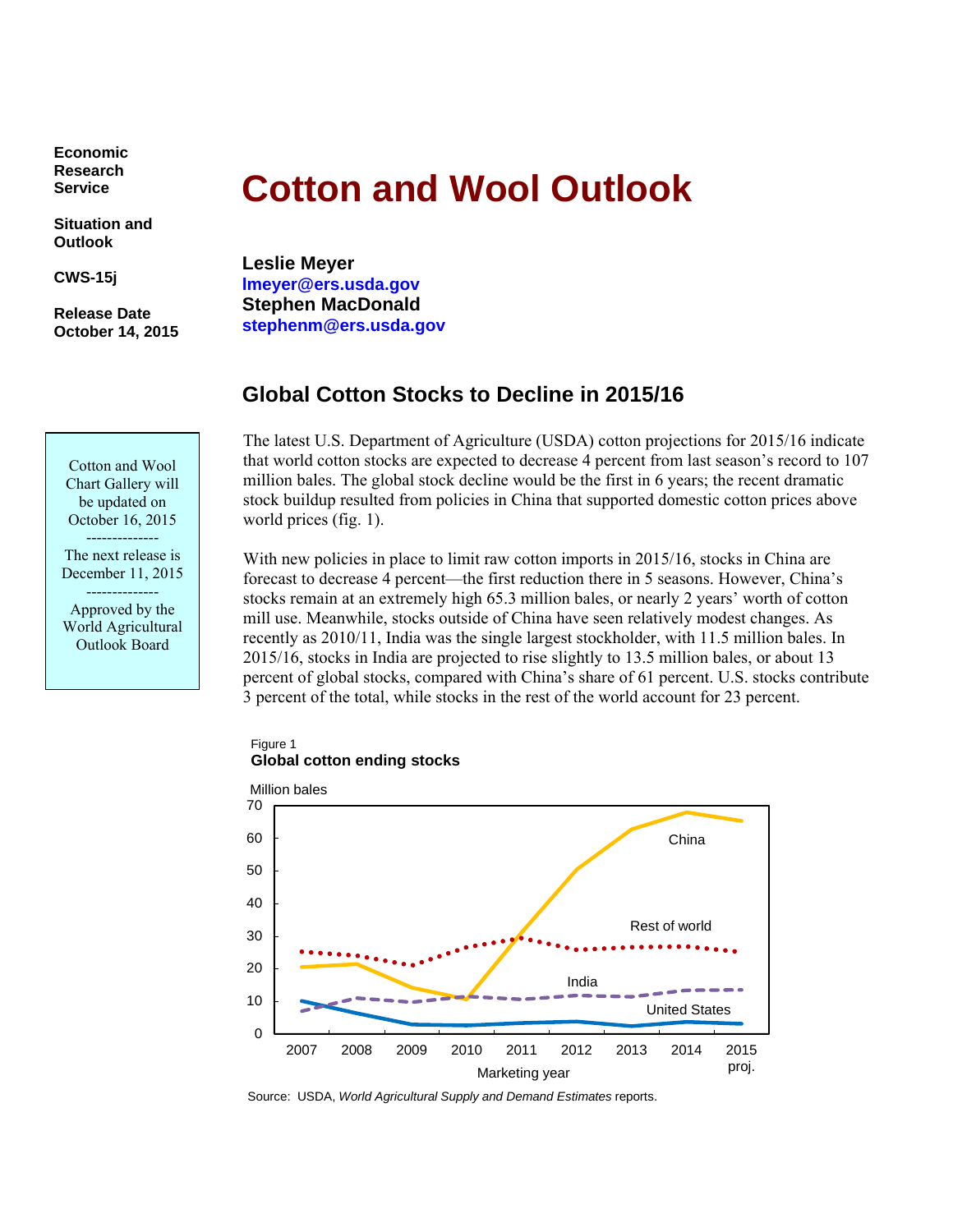**Economic Research Service** 

**Situation and Outlook** 

**CWS-15j** 

**Release Date October 14, 2015** 

# **Cotton and Wool Outlook**

**Leslie Meyer lmeyer@ers.usda.gov Stephen MacDonald stephenm@ers.usda.gov** 

# **Global Cotton Stocks to Decline in 2015/16**

 that world cotton stocks are expected to decrease 4 percent from last season's record to 107 The latest U.S. Department of Agriculture (USDA) cotton projections for 2015/16 indicate million bales. The global stock decline would be the first in 6 years; the recent dramatic stock buildup resulted from policies in China that supported domestic cotton prices above world prices (fig. 1).

With new policies in place to limit raw cotton imports in 2015/16, stocks in China are forecast to decrease 4 percent—the first reduction there in 5 seasons. However, China's stocks remain at an extremely high 65.3 million bales, or nearly 2 years' worth of cotton mill use. Meanwhile, stocks outside of China have seen relatively modest changes. As recently as 2010/11, India was the single largest stockholder, with 11.5 million bales. In 2015/16, stocks in India are projected to rise slightly to 13.5 million bales, or about 13 percent of global stocks, compared with China's share of 61 percent. U.S. stocks contribute 3 percent of the total, while stocks in the rest of the world account for 23 percent.

Figure 1 **Global cotton ending stocks** 



Source: USDA, *World Agricultural Supply and Demand Estimates* reports.

-------------- Cotton and Wool Chart Gallery will be updated on October 16, 2015

The next release is December 11, 2015

-------------- Approved by the World Agricultural Outlook Board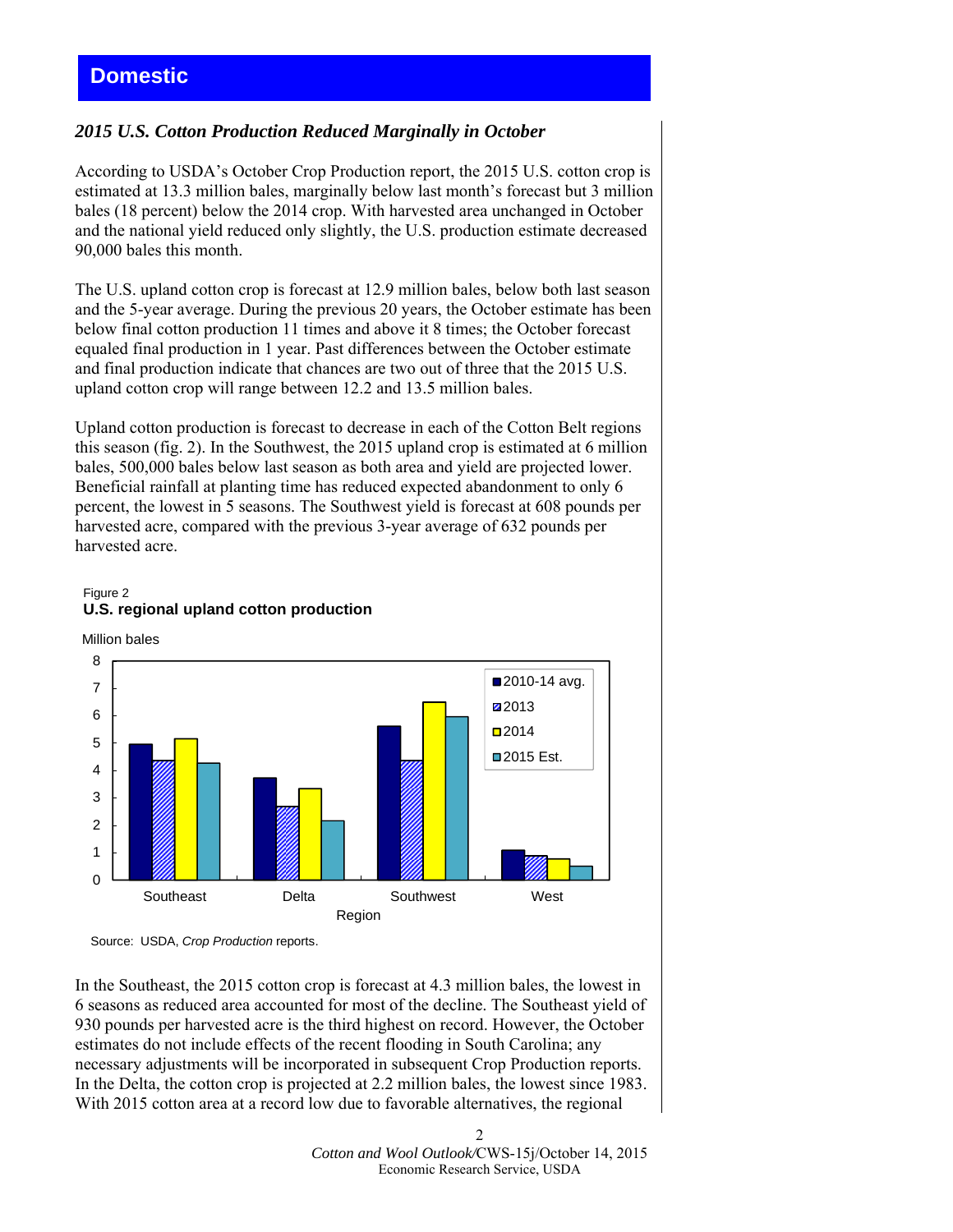# *2015 U.S. Cotton Production Reduced Marginally in October*

According to USDA's October Crop Production report, the 2015 U.S. cotton crop is estimated at 13.3 million bales, marginally below last month's forecast but 3 million bales (18 percent) below the 2014 crop. With harvested area unchanged in October and the national yield reduced only slightly, the U.S. production estimate decreased 90,000 bales this month.

The U.S. upland cotton crop is forecast at 12.9 million bales, below both last season and the 5-year average. During the previous 20 years, the October estimate has been below final cotton production 11 times and above it 8 times; the October forecast equaled final production in 1 year. Past differences between the October estimate and final production indicate that chances are two out of three that the 2015 U.S. upland cotton crop will range between 12.2 and 13.5 million bales.

Upland cotton production is forecast to decrease in each of the Cotton Belt regions this season (fig. 2). In the Southwest, the 2015 upland crop is estimated at 6 million bales, 500,000 bales below last season as both area and yield are projected lower. Beneficial rainfall at planting time has reduced expected abandonment to only 6 percent, the lowest in 5 seasons. The Southwest yield is forecast at 608 pounds per harvested acre, compared with the previous 3-year average of 632 pounds per harvested acre.

#### Figure 2 **U.S. regional upland cotton production**

Million bales



Source: USDA, *Crop Production* reports.

In the Southeast, the 2015 cotton crop is forecast at 4.3 million bales, the lowest in 6 seasons as reduced area accounted for most of the decline. The Southeast yield of 930 pounds per harvested acre is the third highest on record. However, the October estimates do not include effects of the recent flooding in South Carolina; any necessary adjustments will be incorporated in subsequent Crop Production reports. In the Delta, the cotton crop is projected at 2.2 million bales, the lowest since 1983. With 2015 cotton area at a record low due to favorable alternatives, the regional

> 2 *Cotton and Wool Outlook/*CWS-15j/October 14, 2015 Economic Research Service, USDA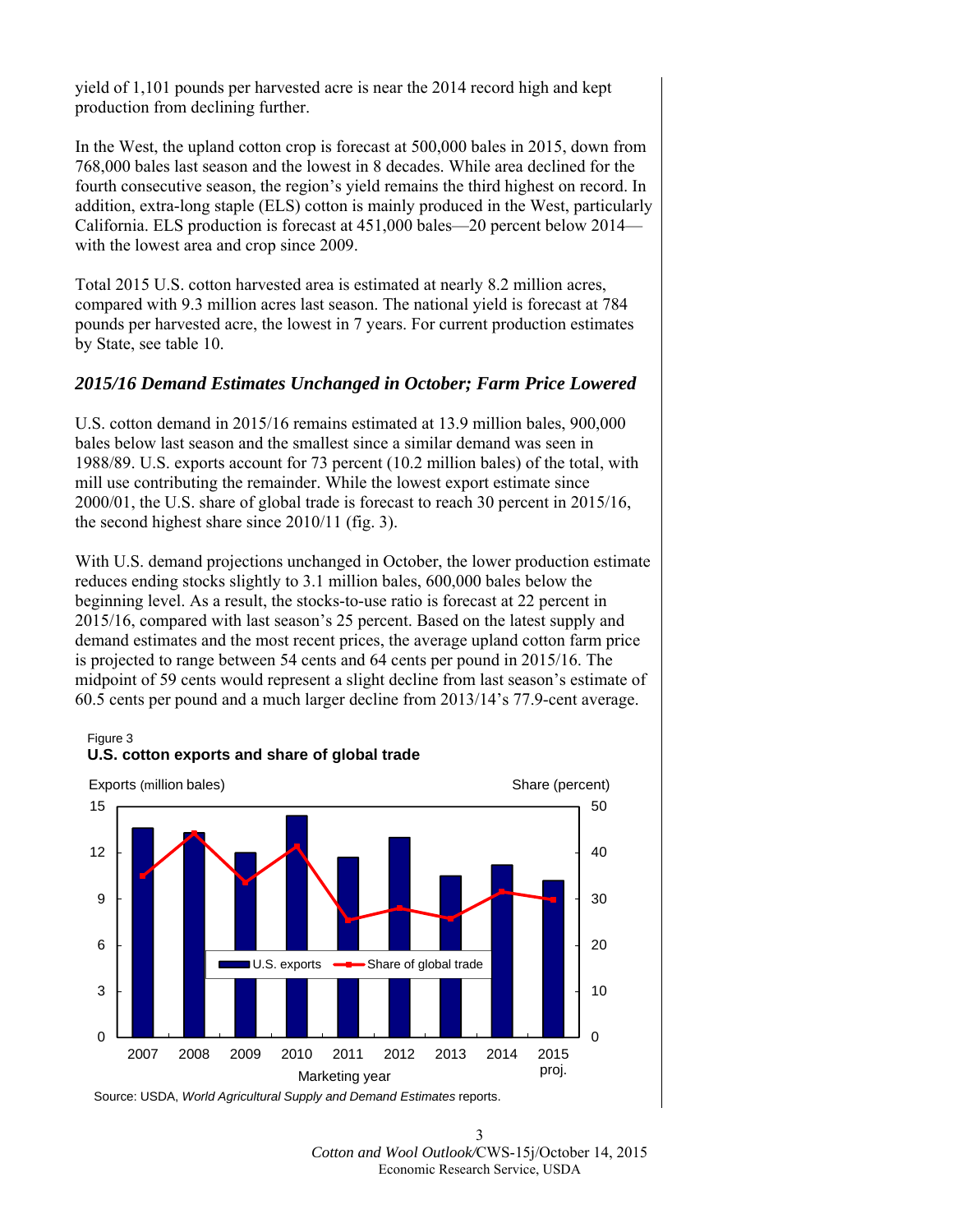yield of 1,101 pounds per harvested acre is near the 2014 record high and kept production from declining further.

In the West, the upland cotton crop is forecast at 500,000 bales in 2015, down from 768,000 bales last season and the lowest in 8 decades. While area declined for the fourth consecutive season, the region's yield remains the third highest on record. In addition, extra-long staple (ELS) cotton is mainly produced in the West, particularly California. ELS production is forecast at 451,000 bales—20 percent below 2014 with the lowest area and crop since 2009.

Total 2015 U.S. cotton harvested area is estimated at nearly 8.2 million acres, compared with 9.3 million acres last season. The national yield is forecast at 784 pounds per harvested acre, the lowest in 7 years. For current production estimates by State, see table 10.

## *2015/16 Demand Estimates Unchanged in October; Farm Price Lowered*

U.S. cotton demand in 2015/16 remains estimated at 13.9 million bales, 900,000 bales below last season and the smallest since a similar demand was seen in 1988/89. U.S. exports account for 73 percent (10.2 million bales) of the total, with mill use contributing the remainder. While the lowest export estimate since 2000/01, the U.S. share of global trade is forecast to reach 30 percent in 2015/16, the second highest share since 2010/11 (fig. 3).

With U.S. demand projections unchanged in October, the lower production estimate reduces ending stocks slightly to 3.1 million bales, 600,000 bales below the beginning level. As a result, the stocks-to-use ratio is forecast at 22 percent in 2015/16, compared with last season's 25 percent. Based on the latest supply and demand estimates and the most recent prices, the average upland cotton farm price is projected to range between 54 cents and 64 cents per pound in 2015/16. The midpoint of 59 cents would represent a slight decline from last season's estimate of 60.5 cents per pound and a much larger decline from 2013/14's 77.9-cent average.

#### Figure 3





Source: USDA, *World Agricultural Supply and Demand Estimates* reports.

<sup>3</sup>  *Cotton and Wool Outlook/*CWS-15j/October 14, 2015 Economic Research Service, USDA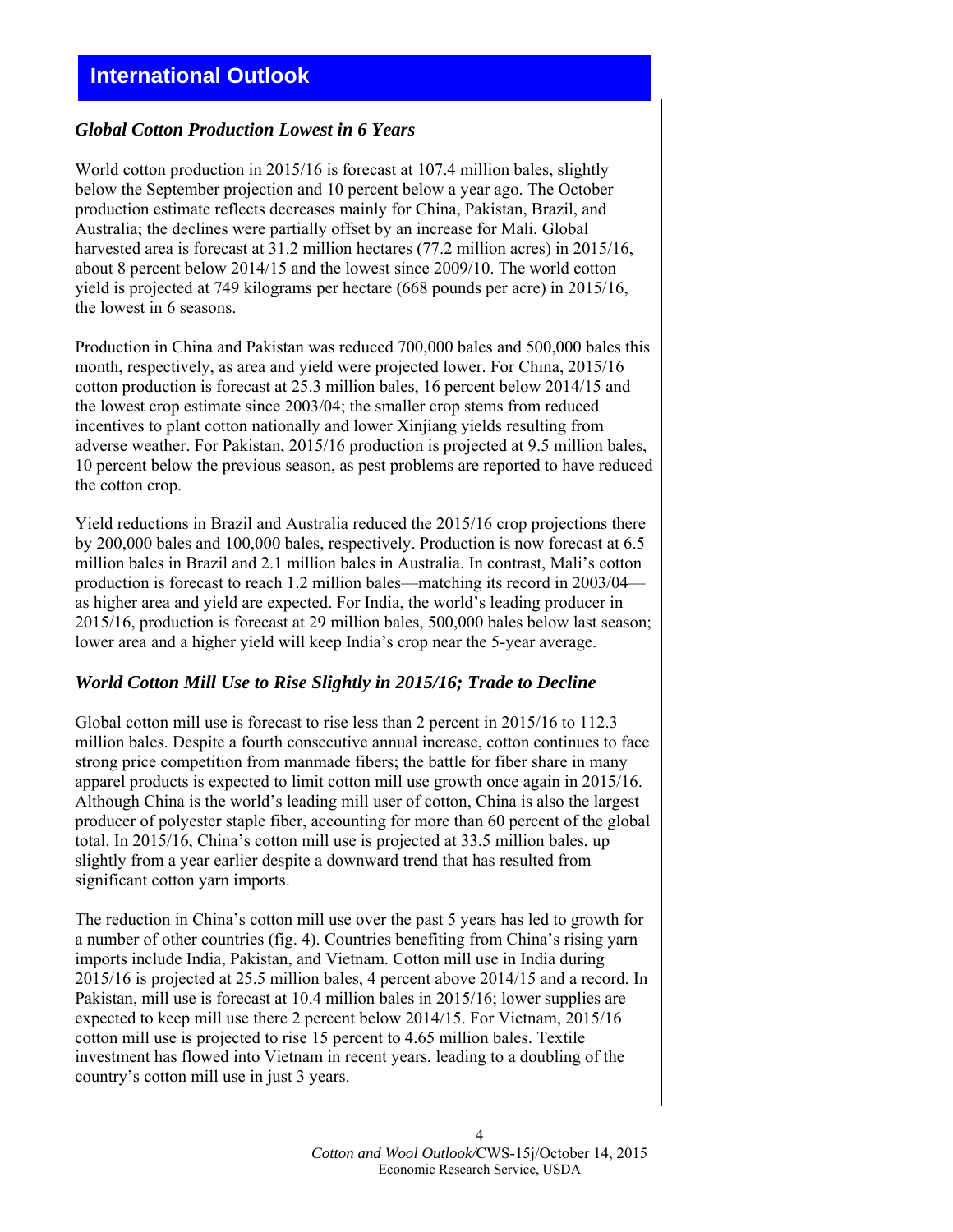# **International Outlook**

## *Global Cotton Production Lowest in 6 Years*

 Australia; the declines were partially offset by an increase for Mali. Global World cotton production in 2015/16 is forecast at 107.4 million bales, slightly below the September projection and 10 percent below a year ago. The October production estimate reflects decreases mainly for China, Pakistan, Brazil, and harvested area is forecast at 31.2 million hectares (77.2 million acres) in 2015/16, about 8 percent below 2014/15 and the lowest since 2009/10. The world cotton yield is projected at 749 kilograms per hectare (668 pounds per acre) in 2015/16, the lowest in 6 seasons.

Production in China and Pakistan was reduced 700,000 bales and 500,000 bales this month, respectively, as area and yield were projected lower. For China, 2015/16 cotton production is forecast at 25.3 million bales, 16 percent below 2014/15 and the lowest crop estimate since 2003/04; the smaller crop stems from reduced incentives to plant cotton nationally and lower Xinjiang yields resulting from adverse weather. For Pakistan, 2015/16 production is projected at 9.5 million bales, 10 percent below the previous season, as pest problems are reported to have reduced the cotton crop.

Yield reductions in Brazil and Australia reduced the 2015/16 crop projections there by 200,000 bales and 100,000 bales, respectively. Production is now forecast at 6.5 million bales in Brazil and 2.1 million bales in Australia. In contrast, Mali's cotton production is forecast to reach 1.2 million bales—matching its record in 2003/04 as higher area and yield are expected. For India, the world's leading producer in 2015/16, production is forecast at 29 million bales, 500,000 bales below last season; lower area and a higher yield will keep India's crop near the 5-year average.

#### *World Cotton Mill Use to Rise Slightly in 2015/16; Trade to Decline*

 slightly from a year earlier despite a downward trend that has resulted from Global cotton mill use is forecast to rise less than 2 percent in 2015/16 to 112.3 million bales. Despite a fourth consecutive annual increase, cotton continues to face strong price competition from manmade fibers; the battle for fiber share in many apparel products is expected to limit cotton mill use growth once again in 2015/16. Although China is the world's leading mill user of cotton, China is also the largest producer of polyester staple fiber, accounting for more than 60 percent of the global total. In 2015/16, China's cotton mill use is projected at 33.5 million bales, up significant cotton yarn imports.

The reduction in China's cotton mill use over the past 5 years has led to growth for a number of other countries (fig. 4). Countries benefiting from China's rising yarn imports include India, Pakistan, and Vietnam. Cotton mill use in India during 2015/16 is projected at 25.5 million bales, 4 percent above 2014/15 and a record. In Pakistan, mill use is forecast at 10.4 million bales in 2015/16; lower supplies are expected to keep mill use there 2 percent below 2014/15. For Vietnam, 2015/16 cotton mill use is projected to rise 15 percent to 4.65 million bales. Textile investment has flowed into Vietnam in recent years, leading to a doubling of the country's cotton mill use in just 3 years.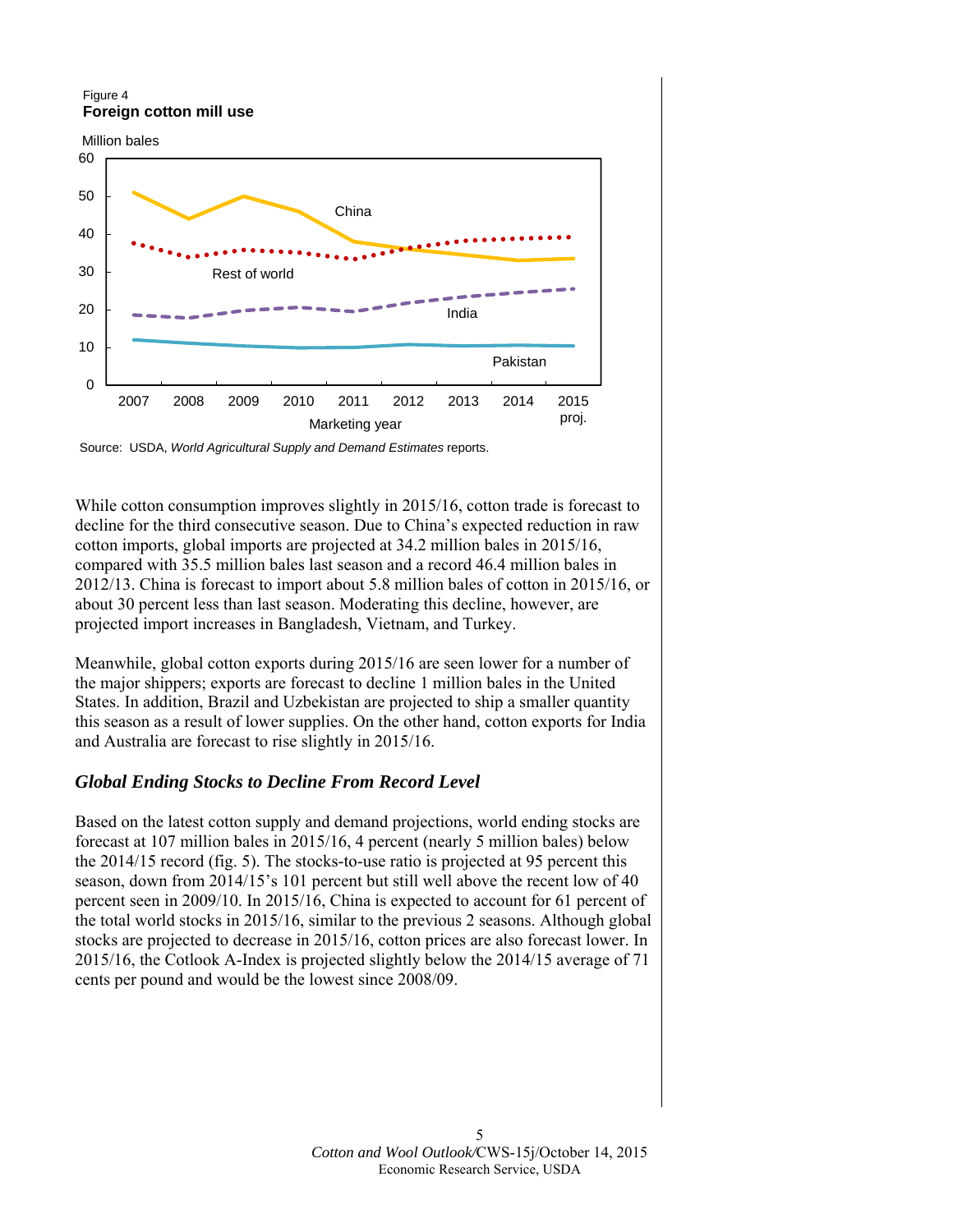#### Figure 4 **Foreign cotton mill use**



Source: USDA, *World Agricultural Supply and Demand Estimates* reports.

While cotton consumption improves slightly in 2015/16, cotton trade is forecast to decline for the third consecutive season. Due to China's expected reduction in raw cotton imports, global imports are projected at 34.2 million bales in 2015/16, compared with 35.5 million bales last season and a record 46.4 million bales in 2012/13. China is forecast to import about 5.8 million bales of cotton in 2015/16, or about 30 percent less than last season. Moderating this decline, however, are projected import increases in Bangladesh, Vietnam, and Turkey.

Meanwhile, global cotton exports during 2015/16 are seen lower for a number of the major shippers; exports are forecast to decline 1 million bales in the United States. In addition, Brazil and Uzbekistan are projected to ship a smaller quantity this season as a result of lower supplies. On the other hand, cotton exports for India and Australia are forecast to rise slightly in 2015/16.

# *Global Ending Stocks to Decline From Record Level*

Based on the latest cotton supply and demand projections, world ending stocks are forecast at 107 million bales in 2015/16, 4 percent (nearly 5 million bales) below the 2014/15 record (fig. 5). The stocks-to-use ratio is projected at 95 percent this season, down from 2014/15's 101 percent but still well above the recent low of 40 percent seen in 2009/10. In 2015/16, China is expected to account for 61 percent of the total world stocks in 2015/16, similar to the previous 2 seasons. Although global stocks are projected to decrease in 2015/16, cotton prices are also forecast lower. In 2015/16, the Cotlook A-Index is projected slightly below the 2014/15 average of 71 cents per pound and would be the lowest since 2008/09.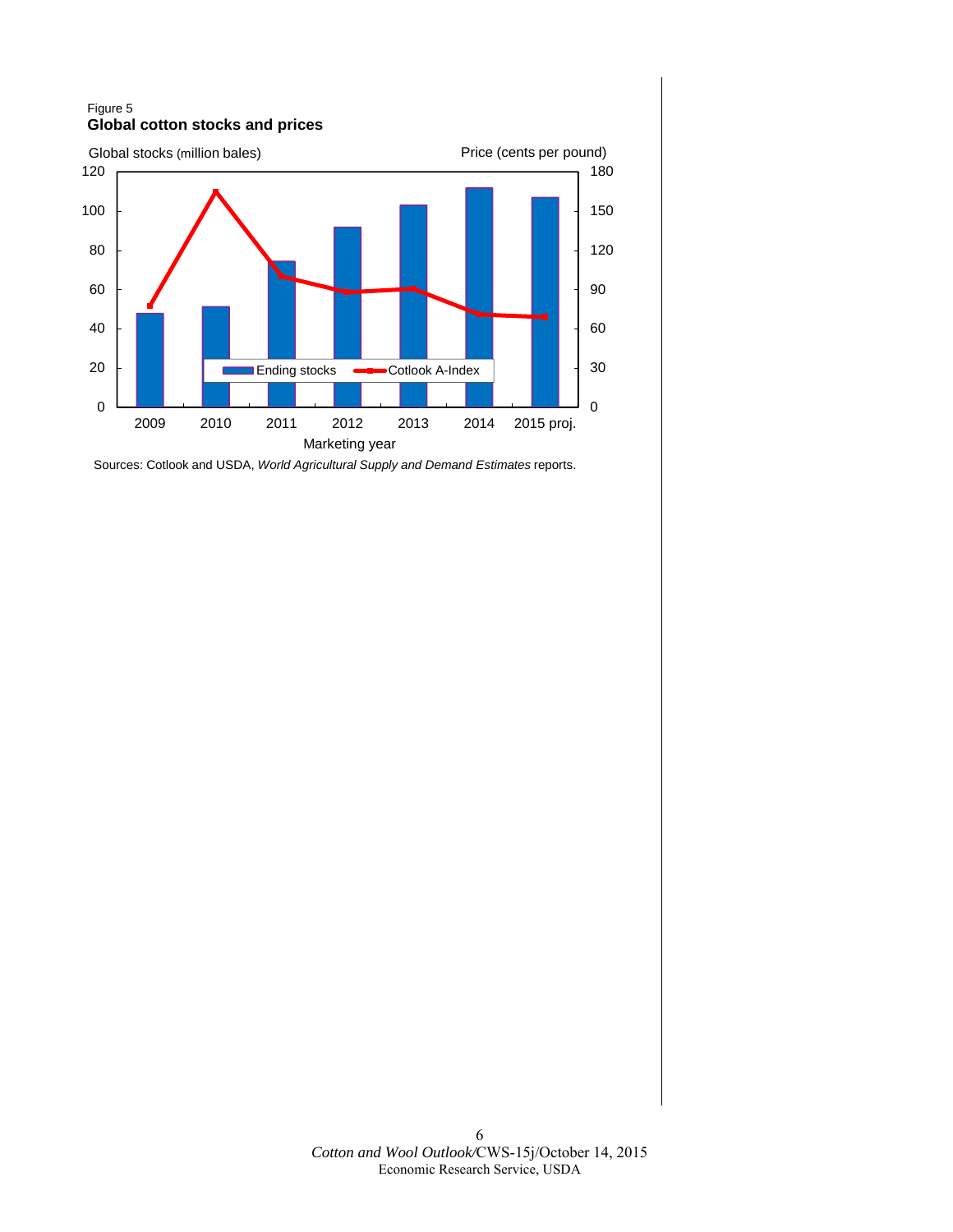#### Figure 5 **Global cotton stocks and prices**



Sources: Cotlook and USDA, *World Agricultural Supply and Demand Estimates* reports.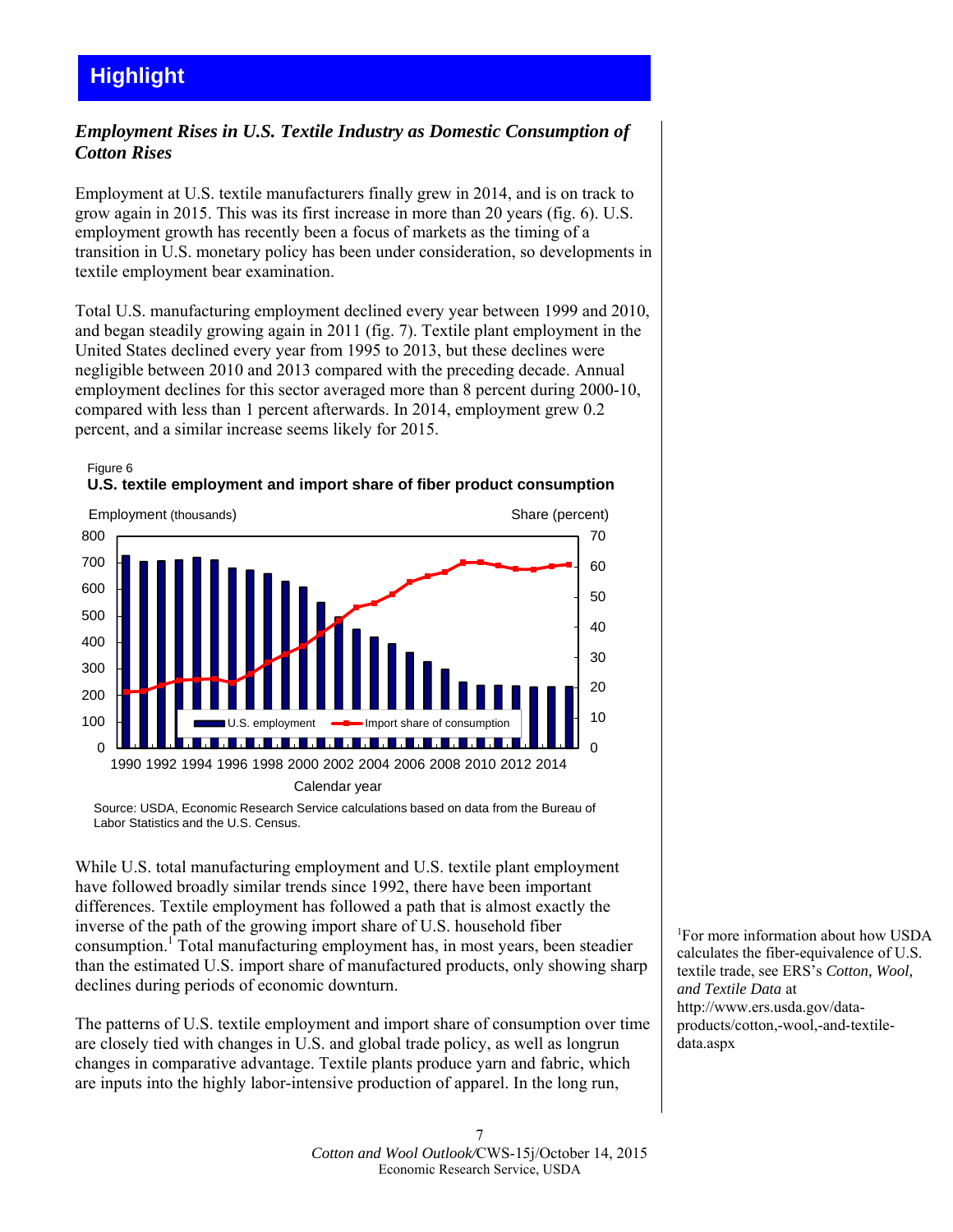# *Employment Rises in U.S. Textile Industry as Domestic Consumption of Cotton Rises*

Employment at U.S. textile manufacturers finally grew in 2014, and is on track to grow again in 2015. This was its first increase in more than 20 years (fig. 6). U.S. employment growth has recently been a focus of markets as the timing of a transition in U.S. monetary policy has been under consideration, so developments in textile employment bear examination.

Total U.S. manufacturing employment declined every year between 1999 and 2010, and began steadily growing again in 2011 (fig. 7). Textile plant employment in the United States declined every year from 1995 to 2013, but these declines were negligible between 2010 and 2013 compared with the preceding decade. Annual employment declines for this sector averaged more than 8 percent during 2000-10, compared with less than 1 percent afterwards. In 2014, employment grew 0.2 percent, and a similar increase seems likely for 2015.





Source: USDA, Economic Research Service calculations based on data from the Bureau of Labor Statistics and the U.S. Census.

While U.S. total manufacturing employment and U.S. textile plant employment have followed broadly similar trends since 1992, there have been important differences. Textile employment has followed a path that is almost exactly the inverse of the path of the growing import share of U.S. household fiber consumption.<sup>1</sup> Total manufacturing employment has, in most years, been steadier than the estimated U.S. import share of manufactured products, only showing sharp declines during periods of economic downturn.

The patterns of U.S. textile employment and import share of consumption over time are closely tied with changes in U.S. and global trade policy, as well as longrun changes in comparative advantage. Textile plants produce yarn and fabric, which are inputs into the highly labor-intensive production of apparel. In the long run,

1 For more information about how USDA calculates the fiber-equivalence of U.S. textile trade, see ERS's *Cotton, Wool, and Textile Data* at http://www.ers.usda.gov/dataproducts/cotton,-wool,-and-textiledata.aspx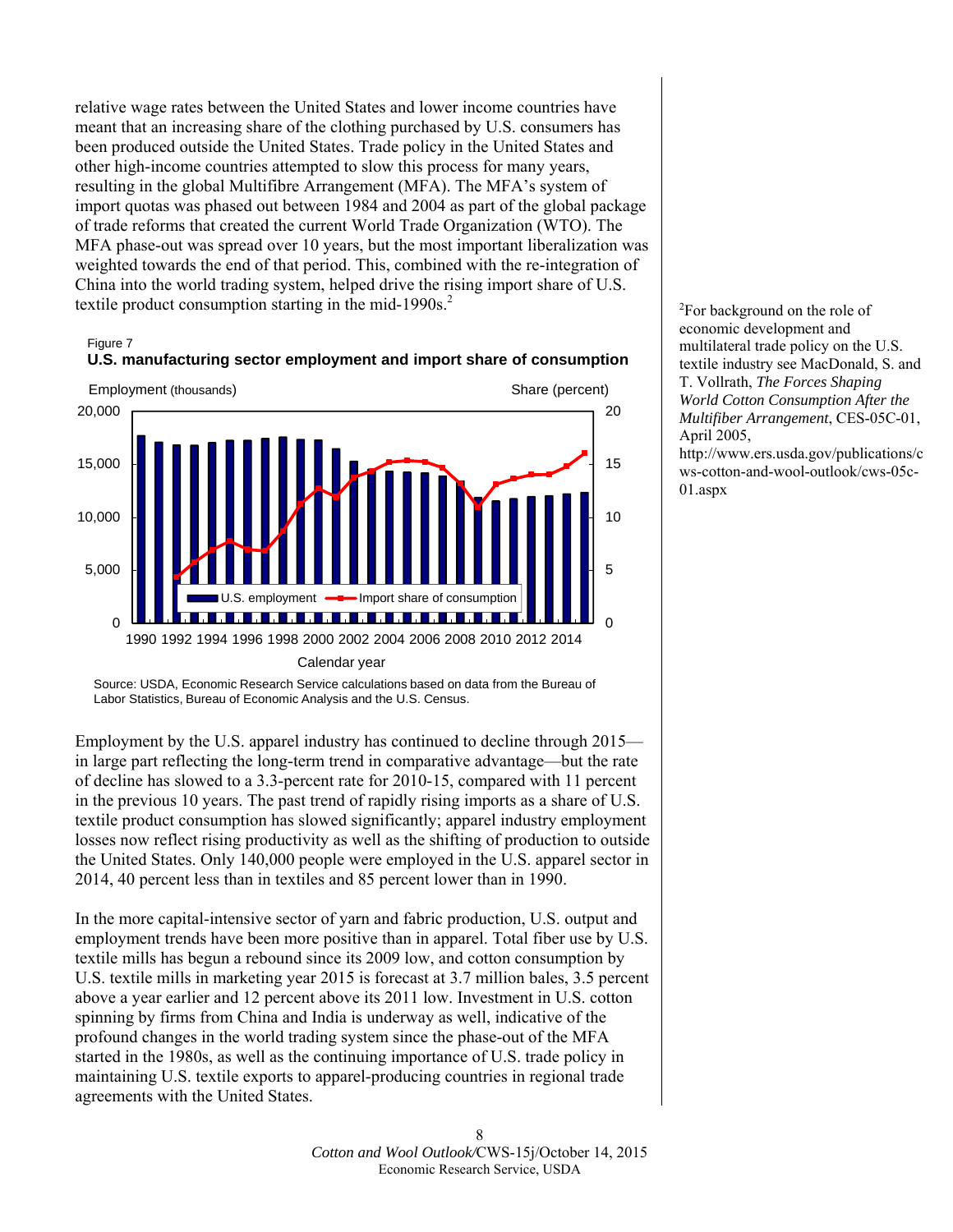relative wage rates between the United States and lower income countries have meant that an increasing share of the clothing purchased by U.S. consumers has been produced outside the United States. Trade policy in the United States and other high-income countries attempted to slow this process for many years, resulting in the global Multifibre Arrangement (MFA). The MFA's system of import quotas was phased out between 1984 and 2004 as part of the global package of trade reforms that created the current World Trade Organization (WTO). The MFA phase-out was spread over 10 years, but the most important liberalization was weighted towards the end of that period. This, combined with the re-integration of China into the world trading system, helped drive the rising import share of U.S. textile product consumption starting in the mid-1990s. $<sup>2</sup>$ </sup>

#### Figure 7



### **U.S. manufacturing sector employment and import share of consumption**

 Labor Statistics, Bureau of Economic Analysis and the U.S. Census. Source: USDA, Economic Research Service calculations based on data from the Bureau of

Employment by the U.S. apparel industry has continued to decline through 2015 in large part reflecting the long-term trend in comparative advantage—but the rate of decline has slowed to a 3.3-percent rate for 2010-15, compared with 11 percent in the previous 10 years. The past trend of rapidly rising imports as a share of U.S. textile product consumption has slowed significantly; apparel industry employment losses now reflect rising productivity as well as the shifting of production to outside the United States. Only 140,000 people were employed in the U.S. apparel sector in 2014, 40 percent less than in textiles and 85 percent lower than in 1990.

In the more capital-intensive sector of yarn and fabric production, U.S. output and employment trends have been more positive than in apparel. Total fiber use by U.S. textile mills has begun a rebound since its 2009 low, and cotton consumption by U.S. textile mills in marketing year 2015 is forecast at 3.7 million bales, 3.5 percent above a year earlier and 12 percent above its 2011 low. Investment in U.S. cotton spinning by firms from China and India is underway as well, indicative of the profound changes in the world trading system since the phase-out of the MFA started in the 1980s, as well as the continuing importance of U.S. trade policy in maintaining U.S. textile exports to apparel-producing countries in regional trade agreements with the United States.

 2 For background on the role of textile industry see MacDonald, S. and economic development and multilateral trade policy on the U.S. T. Vollrath, *The Forces Shaping World Cotton Consumption After the Multifiber Arrangement*, CES-05C-01, April 2005,

http://www.ers.usda.gov/publications/c ws-cotton-and-wool-outlook/cws-05c-01.aspx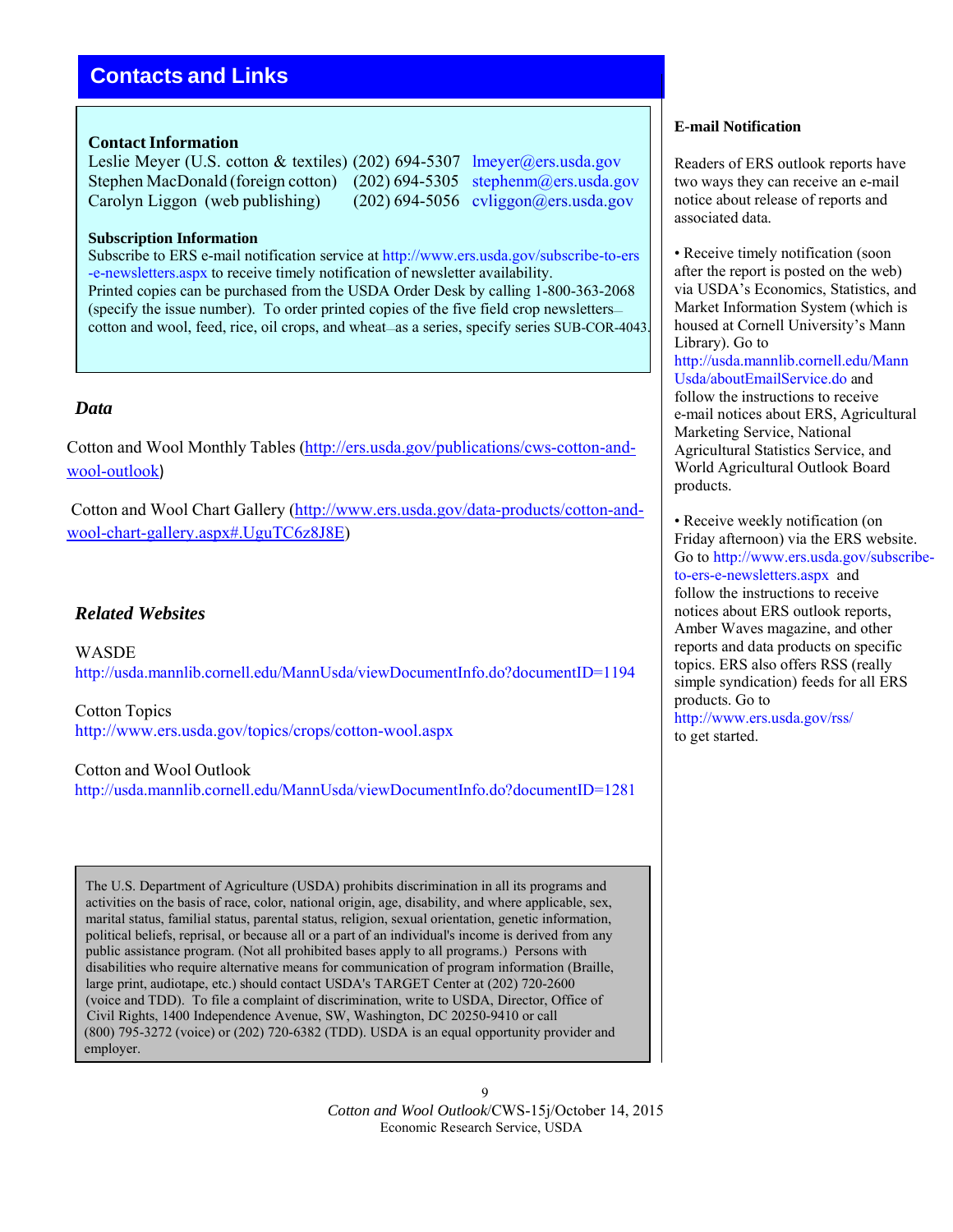# **Contacts and Links**

## **Contact Information**

Leslie Meyer (U.S. cotton & textiles) (202) 694-5307 lmeyer@ers.usda.gov Stephen MacDonald (foreign cotton) (202) 694-5305 stephenm@ers.usda.gov Carolyn Liggon (web publishing) (202) 694-5056 cyliggon@ers.usda.gov

#### **Subscription Information**

 -e-newsletters.aspx to receive timely notification of newsletter availability. Printed copies can be purchased from the USDA Order Desk by calling 1-800-363-2068 (specify the issue number). To order printed copies of the five field crop newsletters— Subscribe to ERS e-mail notification service at http://www.ers.usda.gov/subscribe-to-ers cotton and wool, feed, rice, oil crops, and wheat—as a series, specify series SUB-COR-4043.

## *Data*

Cotton and Wool Monthly Tables (http://ers.usda.gov/publications/cws-cotton-andwool-outlook)

Cotton and Wool Chart Gallery (http://www.ers.usda.gov/data-products/cotton-andwool-chart-gallery.aspx#.UguTC6z8J8E)

# *Related Websites*

WASDE http://usda.mannlib.cornell.edu/MannUsda/viewDocumentInfo.do?documentID=1194

Cotton Topics http://www.ers.usda.gov/topics/crops/cotton-wool.aspx

Cotton and Wool Outlook http://usda.mannlib.cornell.edu/MannUsda/viewDocumentInfo.do?documentID=1281

 activities on the basis of race, color, national origin, age, disability, and where applicable, sex, marital status, familial status, parental status, religion, sexual orientation, genetic information, political beliefs, reprisal, or because all or a part of an individual's income is derived from any public assistance program. (Not all prohibited bases apply to all programs.) Persons with disabilities who require alternative means for communication of program information (Braille, large print, audiotape, etc.) should contact USDA's TARGET Center at (202) 720-2600 (voice and TDD). To file a complaint of discrimination, write to USDA, Director, Office of (800) 795-3272 (voice) or (202) 720-6382 (TDD). USDA is an equal opportunity provider and The U.S. Department of Agriculture (USDA) prohibits discrimination in all its programs and Civil Rights, 1400 Independence Avenue, SW, Washington, DC 20250-9410 or call employer.

> *Cotton and Wool Outlook*/CWS-15j/October 14, 2015 9 Economic Research Service, USDA

#### **E-mail Notification**

Readers of ERS outlook reports have two ways they can receive an e-mail notice about release of reports and associated data.

 after the report is posted on the web) Market Information System (which is • Receive timely notification (soon) via USDA's Economics, Statistics, and housed at Cornell University's Mann Library). Go to http://usda.mannlib.cornell.edu/Mann Usda/aboutEmailService.do and follow the instructions to receive e-mail notices about ERS, Agricultural Marketing Service, National Agricultural Statistics Service, and World Agricultural Outlook Board products.

 Go to http://www.ers.usda.gov/subscribe- reports and data products on specific products. Go to • Receive weekly notification (on Friday afternoon) via the ERS website. to-ers-e-newsletters.aspx and follow the instructions to receive notices about ERS outlook reports, Amber Waves magazine, and other topics. ERS also offers RSS (really simple syndication) feeds for all ERS http://www.ers.usda.gov/rss/ to get started.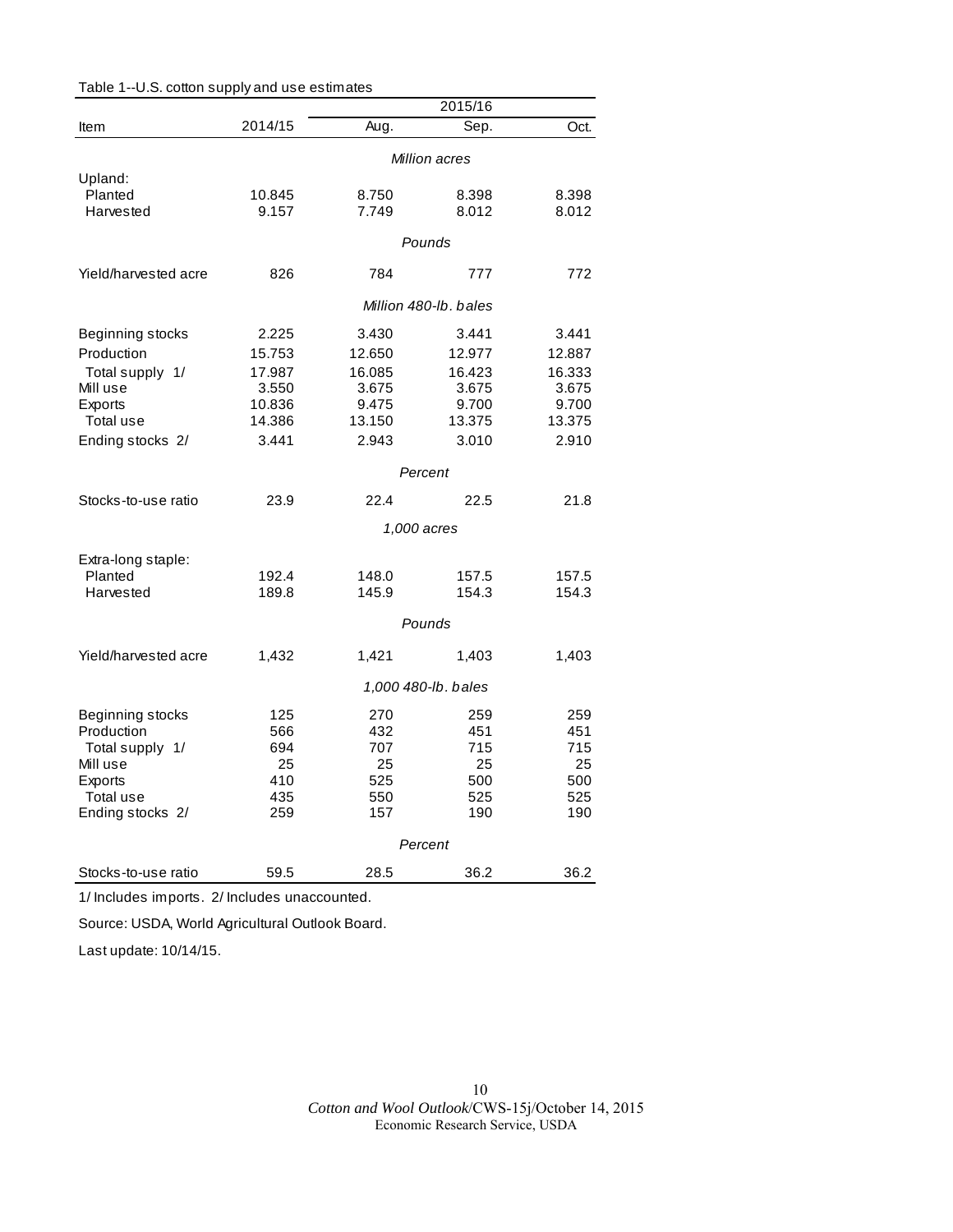|                      |         |             | 2015/16               |        |  |
|----------------------|---------|-------------|-----------------------|--------|--|
| Item                 | 2014/15 | Aug.        | Sep.                  | Oct.   |  |
|                      |         |             | Million acres         |        |  |
| Upland:              |         |             |                       |        |  |
| Planted              | 10.845  | 8.750       | 8.398                 | 8.398  |  |
| Harvested            | 9.157   | 7.749       | 8.012                 | 8.012  |  |
|                      |         |             | Pounds                |        |  |
|                      |         |             |                       |        |  |
| Yield/harvested acre | 826     | 784         | 777                   | 772    |  |
|                      |         |             | Million 480-lb, bales |        |  |
| Beginning stocks     | 2.225   | 3.430       | 3.441                 | 3.441  |  |
| Production           | 15.753  | 12.650      | 12.977                | 12.887 |  |
| Total supply 1/      | 17.987  | 16.085      | 16.423                | 16.333 |  |
| Mill use             | 3.550   | 3.675       | 3.675                 | 3.675  |  |
| Exports              | 10.836  | 9.475       | 9.700                 | 9.700  |  |
| Total use            | 14.386  | 13.150      | 13.375                | 13.375 |  |
|                      | 3.441   | 2.943       | 3.010                 | 2.910  |  |
| Ending stocks 2/     |         |             |                       |        |  |
|                      |         |             | Percent               |        |  |
| Stocks-to-use ratio  | 23.9    | 22.4        | 22.5                  | 21.8   |  |
|                      |         | 1,000 acres |                       |        |  |
| Extra-long staple:   |         |             |                       |        |  |
| Planted              | 192.4   | 148.0       | 157.5                 | 157.5  |  |
| Harvested            | 189.8   | 145.9       | 154.3                 | 154.3  |  |
|                      | Pounds  |             |                       |        |  |
|                      |         |             |                       |        |  |
| Yield/harvested acre | 1,432   | 1,421       | 1,403                 | 1,403  |  |
|                      |         |             | 1,000 480-lb. bales   |        |  |
| Beginning stocks     | 125     | 270         | 259                   | 259    |  |
| Production           | 566     | 432         | 451                   | 451    |  |
| Total supply 1/      | 694     | 707         | 715                   | 715    |  |
| Mill use             | 25      | 25          | 25                    | 25     |  |
| Exports              | 410     | 525         | 500                   | 500    |  |
| Total use            | 435     | 550         | 525                   | 525    |  |
| Ending stocks 2/     | 259     | 157         | 190                   | 190    |  |
|                      |         |             | Percent               |        |  |
|                      |         |             |                       |        |  |
| Stocks-to-use ratio  | 59.5    | 28.5        | 36.2                  | 36.2   |  |

Table 1--U.S. cotton supply and use estim ates

1/ Includes im ports . 2/ Includes unaccounted.

Source: USDA, World Agricultural Outlook Board.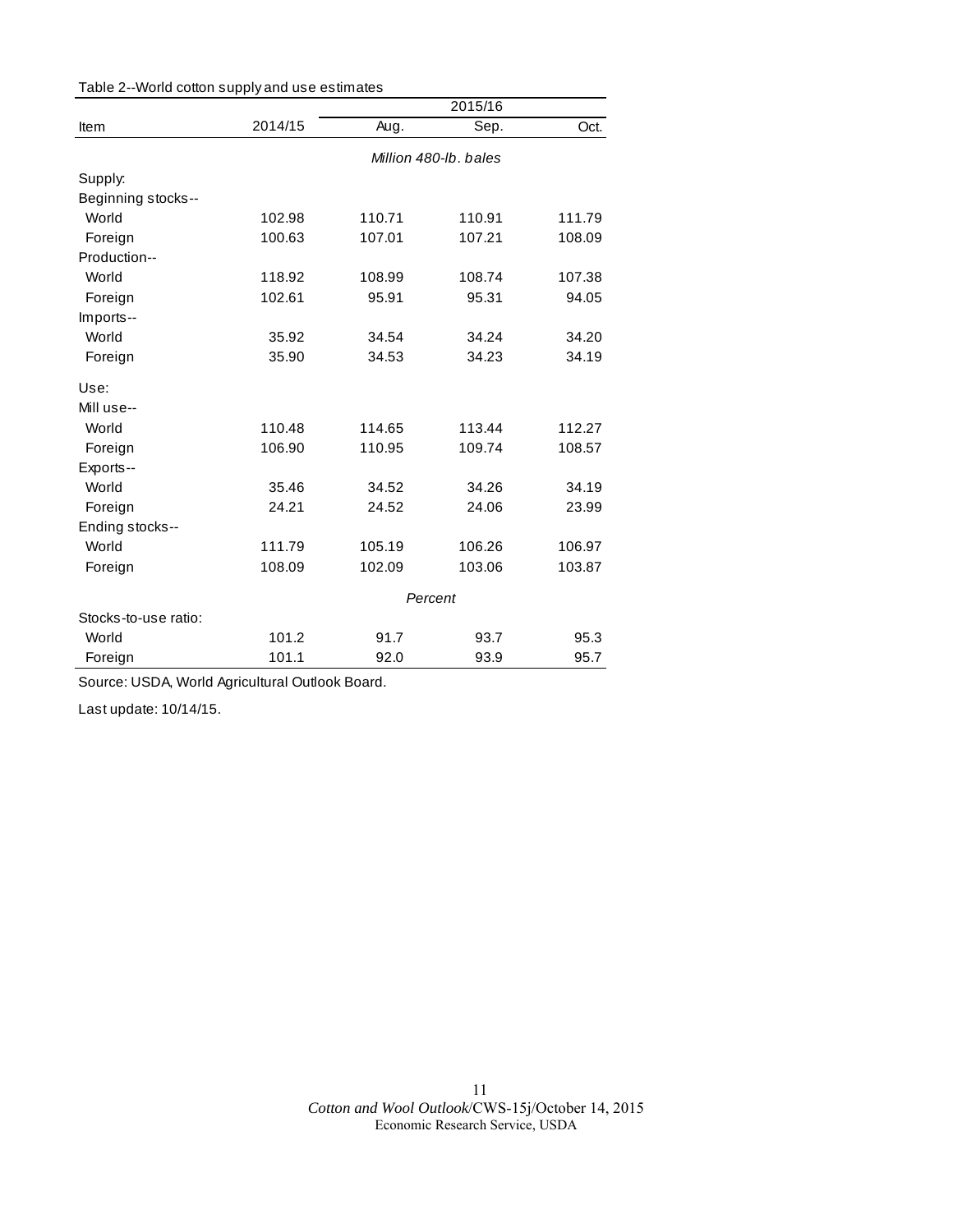|                      |         | 2015/16 |                       |        |  |
|----------------------|---------|---------|-----------------------|--------|--|
| Item                 | 2014/15 | Aug.    | Sep.                  | Oct.   |  |
|                      |         |         | Million 480-lb, bales |        |  |
| Supply:              |         |         |                       |        |  |
| Beginning stocks--   |         |         |                       |        |  |
| World                | 102.98  | 110.71  | 110.91                | 111.79 |  |
| Foreign              | 100.63  | 107.01  | 107.21                | 108.09 |  |
| Production--         |         |         |                       |        |  |
| World                | 118.92  | 108.99  | 108.74                | 107.38 |  |
| Foreign              | 102.61  | 95.91   | 95.31                 | 94.05  |  |
| Imports--            |         |         |                       |        |  |
| World                | 35.92   | 34.54   | 34.24                 | 34.20  |  |
| Foreign              | 35.90   | 34.53   | 34.23                 | 34.19  |  |
| Use:                 |         |         |                       |        |  |
| Mill use--           |         |         |                       |        |  |
| World                | 110.48  | 114.65  | 113.44                | 112.27 |  |
| Foreign              | 106.90  | 110.95  | 109.74                | 108.57 |  |
| Exports--            |         |         |                       |        |  |
| World                | 35.46   | 34.52   | 34.26                 | 34.19  |  |
| Foreign              | 24.21   | 24.52   | 24.06                 | 23.99  |  |
| Ending stocks--      |         |         |                       |        |  |
| World                | 111.79  | 105.19  | 106.26                | 106.97 |  |
| Foreign              | 108.09  | 102.09  | 103.06                | 103.87 |  |
|                      |         | Percent |                       |        |  |
| Stocks-to-use ratio: |         |         |                       |        |  |
| World                | 101.2   | 91.7    | 93.7                  | 95.3   |  |
| Foreign              | 101.1   | 92.0    | 93.9                  | 95.7   |  |

Source: USDA, World Agricultural Outlook Board.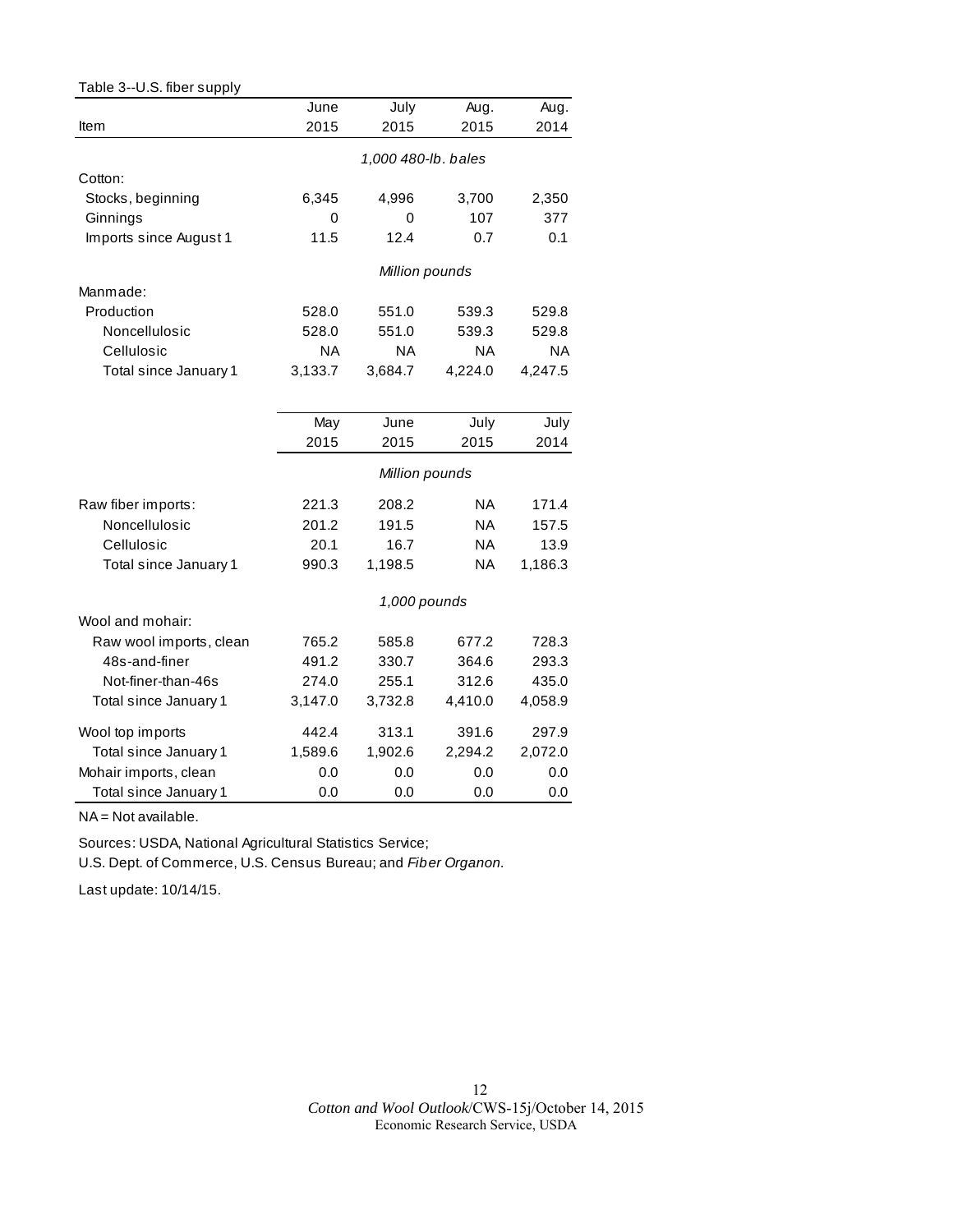| Table 3--U.S. fiber supply |         |                     |           |           |
|----------------------------|---------|---------------------|-----------|-----------|
|                            | June    | July                | Aug.      | Aug.      |
| Item                       | 2015    | 2015                | 2015      | 2014      |
|                            |         | 1,000 480-lb. bales |           |           |
| Cotton:                    |         |                     |           |           |
| Stocks, beginning          | 6,345   | 4,996               | 3,700     | 2,350     |
| Ginnings                   | 0       | 0                   | 107       | 377       |
| Imports since August 1     | 11.5    | 12.4                | 0.7       | 0.1       |
|                            |         | Million pounds      |           |           |
| Manmade:                   |         |                     |           |           |
| Production                 | 528.0   | 551.0               | 539.3     | 529.8     |
| Noncellulosic              | 528.0   | 551.0               | 539.3     | 529.8     |
| Cellulosic                 | ΝA      | ΝA                  | <b>NA</b> | <b>NA</b> |
| Total since January 1      | 3,133.7 | 3,684.7             | 4,224.0   | 4,247.5   |
|                            |         |                     |           |           |
|                            | May     | June                | July      | July      |
|                            | 2015    | 2015                | 2015      | 2014      |
|                            |         | Million pounds      |           |           |
| Raw fiber imports:         | 221.3   | 208.2               | <b>NA</b> | 171.4     |
| Noncellulosic              | 201.2   | 191.5               | <b>NA</b> | 157.5     |
| Cellulosic                 | 20.1    | 16.7                | NA        | 13.9      |
| Total since January 1      | 990.3   | 1,198.5             | <b>NA</b> | 1,186.3   |
|                            |         | 1,000 pounds        |           |           |
| Wool and mohair:           |         |                     |           |           |
| Raw wool imports, clean    | 765.2   | 585.8               | 677.2     | 728.3     |
| 48s-and-finer              | 491.2   | 330.7               | 364.6     | 293.3     |
| Not-finer-than-46s         | 274.0   | 255.1               | 312.6     | 435.0     |
| Total since January 1      | 3,147.0 | 3,732.8             | 4,410.0   | 4,058.9   |
| Wool top imports           | 442.4   | 313.1               | 391.6     | 297.9     |
| Total since January 1      | 1,589.6 | 1,902.6             | 2,294.2   | 2,072.0   |
| Mohair imports, clean      | 0.0     | 0.0                 | 0.0       | 0.0       |
| Total since January 1      | 0.0     | 0.0                 | 0.0       | 0.0       |

NA = Not available.

Sources: USDA, National Agricultural Statistics Service;

U.S. Dept. of Comm erce, U.S. Census Bureau; and *Fib er Organon.*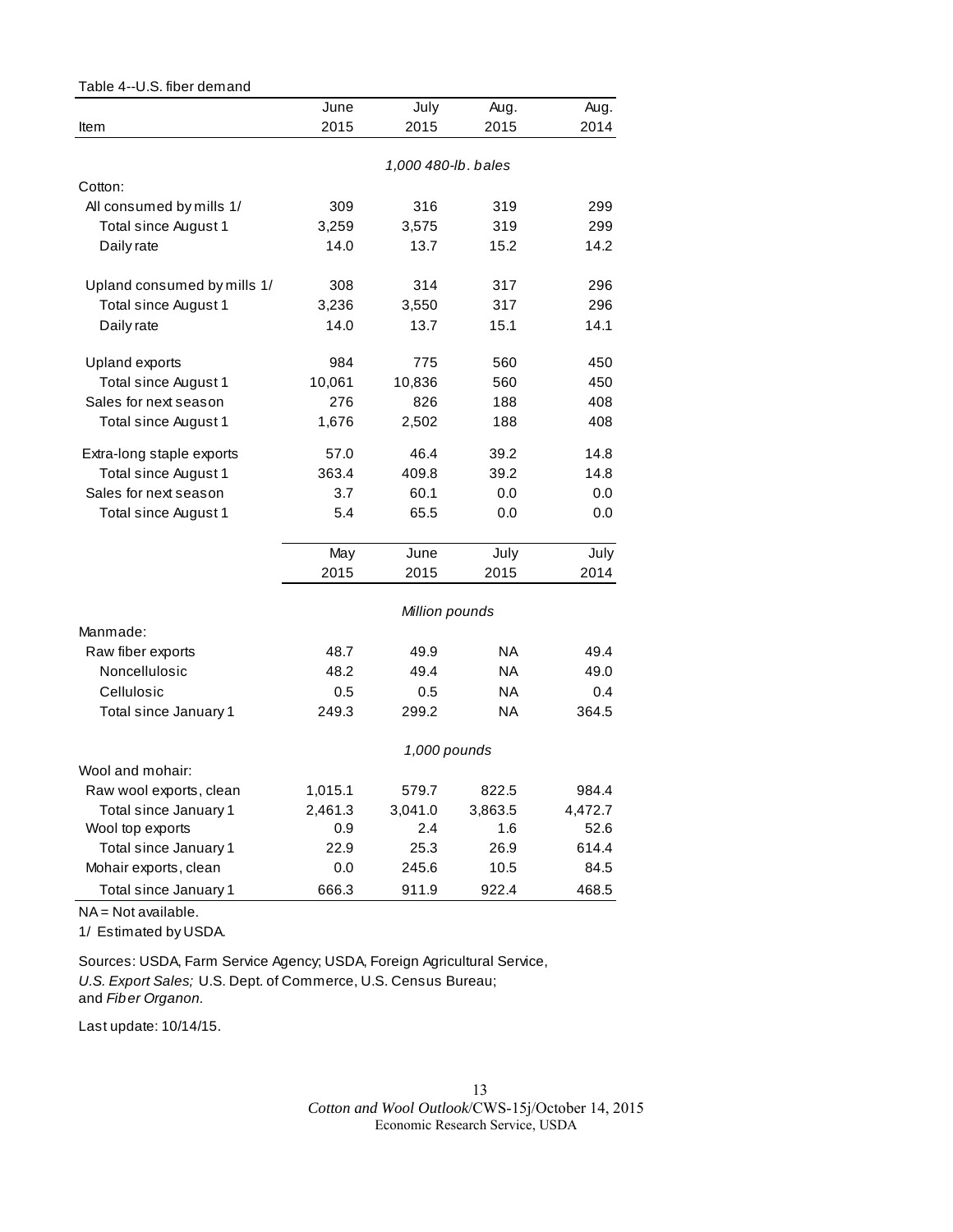| Table 4--U.S. fiber demand  |         |                     |           |         |
|-----------------------------|---------|---------------------|-----------|---------|
|                             | June    | July                | Aug.      | Aug.    |
| Item                        | 2015    | 2015                | 2015      | 2014    |
|                             |         |                     |           |         |
|                             |         | 1,000 480-lb. bales |           |         |
| Cotton:                     |         |                     |           |         |
| All consumed by mills 1/    | 309     | 316                 | 319       | 299     |
| Total since August 1        | 3,259   | 3,575               | 319       | 299     |
| Daily rate                  | 14.0    | 13.7                | 15.2      | 14.2    |
| Upland consumed by mills 1/ | 308     | 314                 | 317       | 296     |
| Total since August 1        | 3,236   | 3,550               | 317       | 296     |
| Daily rate                  | 14.0    | 13.7                | 15.1      | 14.1    |
| Upland exports              | 984     | 775                 | 560       | 450     |
| Total since August 1        | 10,061  | 10,836              | 560       | 450     |
| Sales for next season       | 276     | 826                 | 188       | 408     |
| Total since August 1        | 1,676   | 2,502               | 188       | 408     |
|                             |         |                     |           |         |
| Extra-long staple exports   | 57.0    | 46.4                | 39.2      | 14.8    |
| Total since August 1        | 363.4   | 409.8               | 39.2      | 14.8    |
| Sales for next season       | 3.7     | 60.1                | 0.0       | 0.0     |
| Total since August 1        | 5.4     | 65.5                | 0.0       | 0.0     |
|                             | May     | June                | July      | July    |
|                             | 2015    | 2015                | 2015      | 2014    |
|                             |         | Million pounds      |           |         |
| Manmade:                    |         |                     |           |         |
| Raw fiber exports           | 48.7    | 49.9                | <b>NA</b> | 49.4    |
| Noncellulosic               | 48.2    | 49.4                | NA        | 49.0    |
| Cellulosic                  | 0.5     | 0.5                 | <b>NA</b> | 0.4     |
| Total since January 1       | 249.3   | 299.2               | <b>NA</b> | 364.5   |
|                             |         | 1,000 pounds        |           |         |
| Wool and mohair:            |         |                     |           |         |
| Raw wool exports, clean     | 1,015.1 | 579.7               | 822.5     | 984.4   |
| Total since January 1       | 2,461.3 | 3,041.0             | 3,863.5   | 4,472.7 |
| Wool top exports            | 0.9     | 2.4                 | 1.6       | 52.6    |
| Total since January 1       | 22.9    | 25.3                | 26.9      | 614.4   |
| Mohair exports, clean       | 0.0     | 245.6               | 10.5      | 84.5    |
| Total since January 1       | 666.3   | 911.9               | 922.4     | 468.5   |

NA = Not available.

1/ Estimated by USDA.

 Sources: USDA, Farm Service Agency; USDA, Foreign Agricultural Service, *U.S. Export Sales;* U.S. Dept. of Com merce, U.S. Cens us Bureau; and *Fib er Organon.*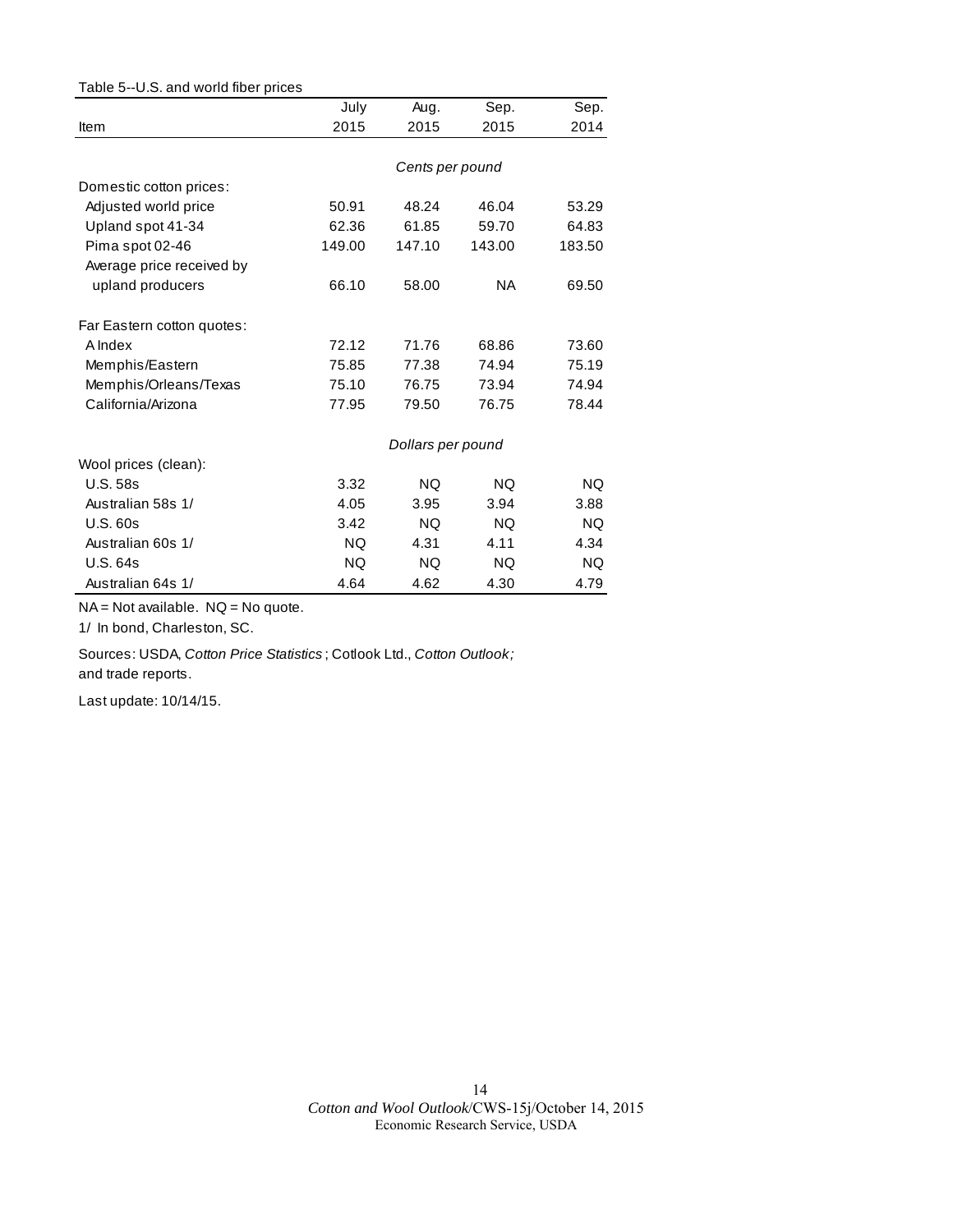| Table 5--U.S. and world fiber prices |           |                   |           |           |
|--------------------------------------|-----------|-------------------|-----------|-----------|
|                                      | July      | Aug.              | Sep.      | Sep.      |
| Item                                 | 2015      | 2015              | 2015      | 2014      |
|                                      |           |                   |           |           |
|                                      |           | Cents per pound   |           |           |
| Domestic cotton prices:              |           |                   |           |           |
| Adjusted world price                 | 50.91     | 48.24             | 46.04     | 53.29     |
| Upland spot 41-34                    | 62.36     | 61.85             | 59.70     | 64.83     |
| Pima spot 02-46                      | 149.00    | 147.10            | 143.00    | 183.50    |
| Average price received by            |           |                   |           |           |
| upland producers                     | 66.10     | 58.00             | NA.       | 69.50     |
| Far Eastern cotton quotes:           |           |                   |           |           |
| A Index                              | 72.12     | 71.76             | 68.86     | 73.60     |
| Memphis/Eastern                      | 75.85     | 77.38             | 74.94     | 75.19     |
| Memphis/Orleans/Texas                | 75.10     | 76.75             | 73.94     | 74.94     |
| California/Arizona                   | 77.95     | 79.50             | 76.75     | 78.44     |
|                                      |           | Dollars per pound |           |           |
| Wool prices (clean):                 |           |                   |           |           |
| <b>U.S. 58s</b>                      | 3.32      | <b>NQ</b>         | <b>NQ</b> | <b>NQ</b> |
| Australian 58s 1/                    | 4.05      | 3.95              | 3.94      | 3.88      |
| U.S.60s                              | 3.42      | NQ.               | NQ.       | NQ.       |
| Australian 60s 1/                    | <b>NQ</b> | 4.31              | 4.11      | 4.34      |
| <b>U.S. 64s</b>                      | <b>NQ</b> | <b>NQ</b>         | NQ.       | <b>NQ</b> |
| Australian 64s 1/                    | 4.64      | 4.62              | 4.30      | 4.79      |

NA = Not available. NQ = No quote.

1/ In bond, Charleston, SC.

 Sources: USDA, *Cotton Price Statistics* ; Cotlook Ltd., *Cotton Outlook ;*  and trade reports.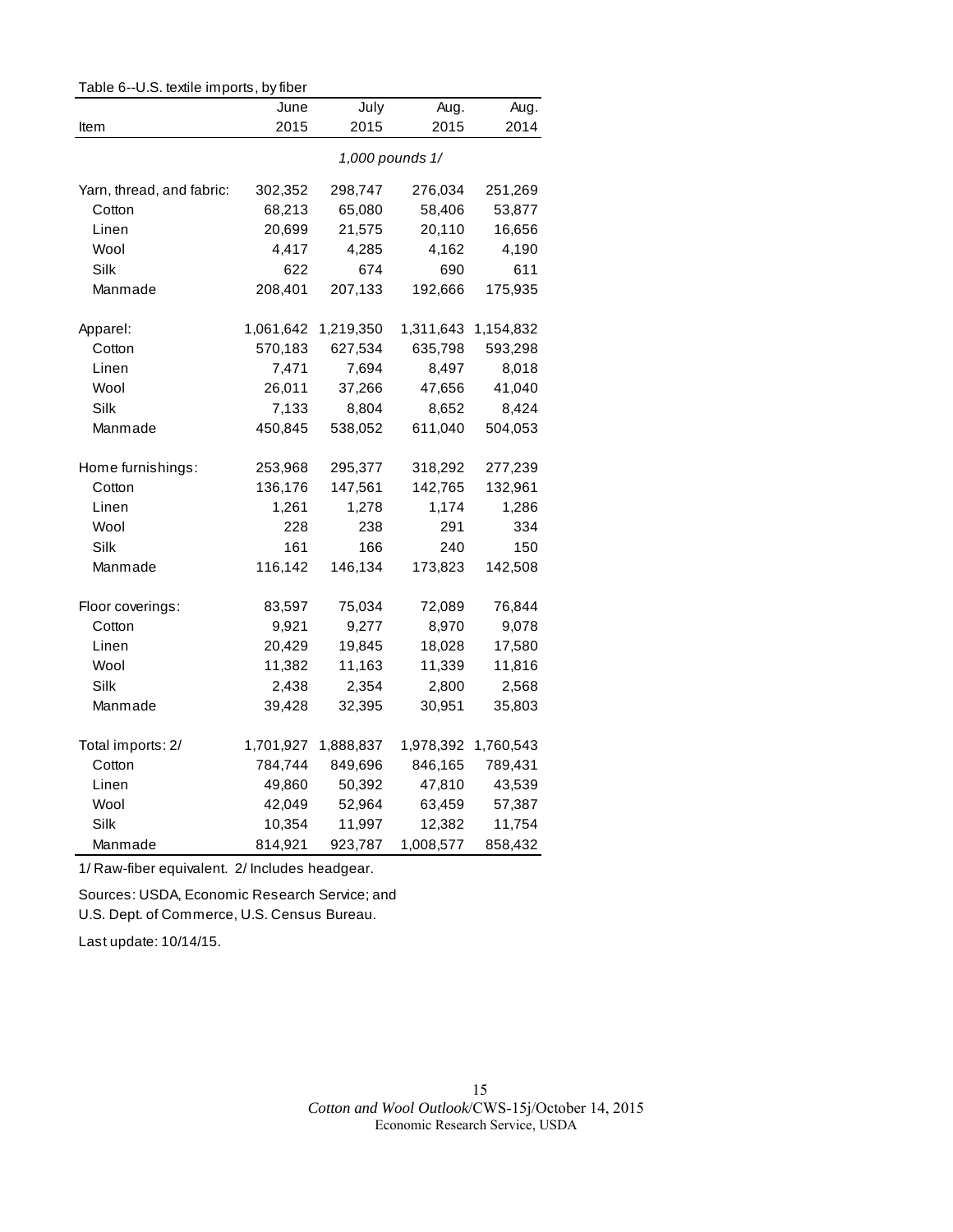| Table 6--U.S. textile imports, by fiber |           |           |                 |           |
|-----------------------------------------|-----------|-----------|-----------------|-----------|
|                                         | June      | July      | Aug.            | Aug.      |
| Item                                    | 2015      | 2015      | 2015            | 2014      |
|                                         |           |           | 1,000 pounds 1/ |           |
| Yarn, thread, and fabric:               | 302,352   | 298,747   | 276,034         | 251,269   |
| Cotton                                  | 68,213    | 65,080    | 58,406          | 53,877    |
| Linen                                   | 20,699    | 21,575    | 20,110          | 16,656    |
| Wool                                    | 4,417     | 4,285     | 4,162           | 4,190     |
| Silk                                    | 622       | 674       | 690             | 611       |
| Manmade                                 | 208,401   | 207,133   | 192,666         | 175,935   |
| Apparel:                                | 1,061,642 | 1,219,350 | 1,311,643       | 1,154,832 |
| Cotton                                  | 570,183   | 627,534   | 635,798         | 593,298   |
| Linen                                   | 7,471     | 7,694     | 8,497           | 8,018     |
| Wool                                    | 26,011    | 37,266    | 47,656          | 41,040    |
| Silk                                    | 7,133     | 8,804     | 8,652           | 8,424     |
| Manmade                                 | 450,845   | 538,052   | 611,040         | 504,053   |
| Home furnishings:                       | 253,968   | 295,377   | 318,292         | 277,239   |
| Cotton                                  | 136,176   | 147,561   | 142,765         | 132,961   |
| Linen                                   | 1,261     | 1,278     | 1,174           | 1,286     |
| Wool                                    | 228       | 238       | 291             | 334       |
| Silk                                    | 161       | 166       | 240             | 150       |
| Manmade                                 | 116,142   | 146,134   | 173,823         | 142,508   |
| Floor coverings:                        | 83,597    | 75,034    | 72,089          | 76,844    |
| Cotton                                  | 9,921     | 9,277     | 8,970           | 9,078     |
| Linen                                   | 20,429    | 19,845    | 18,028          | 17,580    |
| Wool                                    | 11,382    | 11,163    | 11,339          | 11,816    |
| Silk                                    | 2,438     | 2,354     | 2,800           | 2,568     |
| Manmade                                 | 39,428    | 32,395    | 30,951          | 35,803    |
| Total imports: 2/                       | 1,701,927 | 1,888,837 | 1,978,392       | 1,760,543 |
| Cotton                                  | 784,744   | 849,696   | 846,165         | 789,431   |
| Linen                                   | 49,860    | 50,392    | 47,810          | 43,539    |
| Wool                                    | 42,049    | 52,964    | 63,459          | 57,387    |
| Silk                                    | 10,354    | 11,997    | 12,382          | 11,754    |
| Manmade                                 | 814,921   | 923,787   | 1,008,577       | 858,432   |

1/ Raw-fiber equivalent. 2/ Includes headgear.

Sources: USDA, Economic Research Service; and

U.S. Dept. of Commerce, U.S. Census Bureau.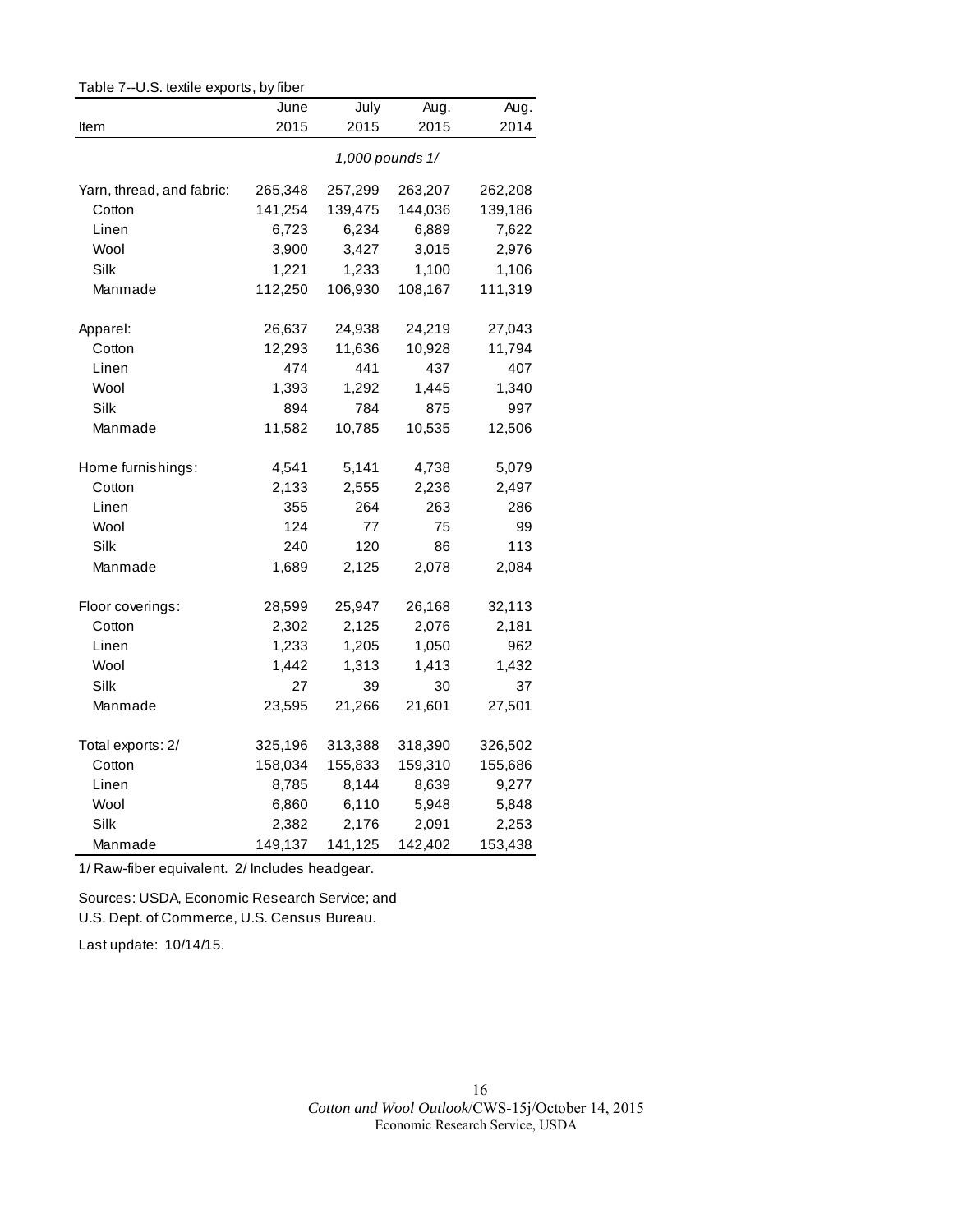| Table 7--U.S. textile exports, by fiber |         |         |                 |         |
|-----------------------------------------|---------|---------|-----------------|---------|
|                                         | June    | July    | Aug.            | Aug.    |
| Item                                    | 2015    | 2015    | 2015            | 2014    |
|                                         |         |         | 1,000 pounds 1/ |         |
| Yarn, thread, and fabric:               | 265,348 | 257,299 | 263,207         | 262,208 |
| Cotton                                  | 141,254 | 139,475 | 144,036         | 139,186 |
| Linen                                   | 6,723   | 6,234   | 6,889           | 7,622   |
| Wool                                    | 3,900   | 3,427   | 3,015           | 2,976   |
| Silk                                    | 1,221   | 1,233   | 1,100           | 1,106   |
| Manmade                                 | 112,250 | 106,930 | 108,167         | 111,319 |
| Apparel:                                | 26,637  | 24,938  | 24,219          | 27,043  |
| Cotton                                  | 12,293  | 11,636  | 10,928          | 11,794  |
| Linen                                   | 474     | 441     | 437             | 407     |
| Wool                                    | 1,393   | 1,292   | 1,445           | 1,340   |
| Silk                                    | 894     | 784     | 875             | 997     |
| Manmade                                 | 11,582  | 10,785  | 10,535          | 12,506  |
| Home furnishings:                       | 4,541   | 5,141   | 4,738           | 5,079   |
| Cotton                                  | 2,133   | 2,555   | 2,236           | 2,497   |
| Linen                                   | 355     | 264     | 263             | 286     |
| Wool                                    | 124     | 77      | 75              | 99      |
| Silk                                    | 240     | 120     | 86              | 113     |
| Manmade                                 | 1,689   | 2,125   | 2,078           | 2,084   |
| Floor coverings:                        | 28,599  | 25,947  | 26,168          | 32,113  |
| Cotton                                  | 2,302   | 2,125   | 2,076           | 2,181   |
| Linen                                   | 1,233   | 1,205   | 1,050           | 962     |
| Wool                                    | 1,442   | 1,313   | 1,413           | 1,432   |
| Silk                                    | 27      | 39      | 30              | 37      |
| Manmade                                 | 23,595  | 21,266  | 21,601          | 27,501  |
| Total exports: 2/                       | 325,196 | 313,388 | 318,390         | 326,502 |
| Cotton                                  | 158,034 | 155,833 | 159,310         | 155,686 |
| Linen                                   | 8,785   | 8,144   | 8,639           | 9,277   |
| Wool                                    | 6,860   | 6,110   | 5,948           | 5,848   |
| Silk                                    | 2,382   | 2,176   | 2,091           | 2,253   |
| Manmade                                 | 149,137 | 141,125 | 142,402         | 153,438 |

1/ Raw-fiber equivalent. 2/ Includes headgear.

Sources: USDA, Economic Research Service; and U.S. Dept. of Commerce, U.S. Census Bureau.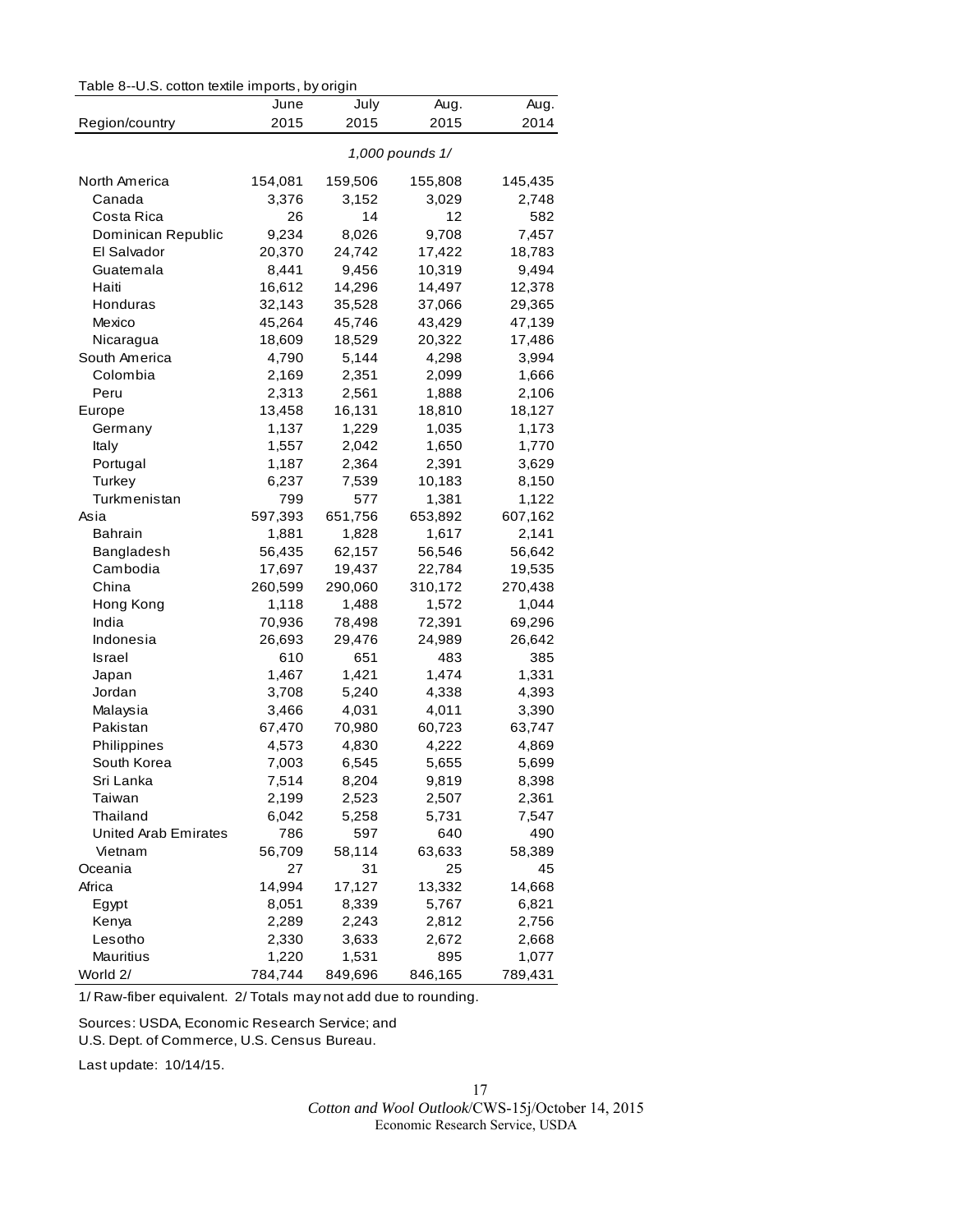|  |  |  |  |  |  | Table 8--U.S. cotton textile imports, by origin |  |
|--|--|--|--|--|--|-------------------------------------------------|--|
|--|--|--|--|--|--|-------------------------------------------------|--|

|                             | June    | July    | Aug.            | Aug.    |
|-----------------------------|---------|---------|-----------------|---------|
| Region/country              | 2015    | 2015    | 2015            | 2014    |
|                             |         |         | 1,000 pounds 1/ |         |
| North America               | 154,081 | 159,506 | 155,808         | 145,435 |
| Canada                      | 3,376   | 3,152   | 3,029           | 2,748   |
| Costa Rica                  | 26      | 14      | 12              | 582     |
| Dominican Republic          | 9,234   | 8,026   | 9,708           | 7,457   |
| El Salvador                 | 20,370  | 24,742  | 17,422          | 18,783  |
| Guatemala                   | 8,441   | 9,456   | 10,319          | 9,494   |
| Haiti                       | 16,612  | 14,296  | 14,497          | 12,378  |
| Honduras                    | 32,143  | 35,528  | 37,066          | 29,365  |
| Mexico                      | 45,264  | 45,746  | 43,429          | 47,139  |
| Nicaragua                   | 18,609  | 18,529  | 20,322          | 17,486  |
| South America               | 4,790   | 5,144   | 4,298           | 3,994   |
| Colombia                    | 2,169   | 2,351   | 2,099           | 1,666   |
| Peru                        | 2,313   | 2,561   | 1,888           | 2,106   |
| Europe                      | 13,458  | 16,131  | 18,810          | 18,127  |
| Germany                     | 1,137   | 1,229   | 1,035           | 1,173   |
| Italy                       | 1,557   | 2,042   | 1,650           | 1,770   |
| Portugal                    | 1,187   | 2,364   | 2,391           | 3,629   |
| Turkey                      | 6,237   | 7,539   | 10,183          | 8,150   |
| Turkmenistan                | 799     | 577     | 1,381           | 1,122   |
| Asia                        | 597,393 | 651,756 | 653,892         | 607,162 |
| <b>Bahrain</b>              | 1,881   | 1,828   | 1,617           | 2,141   |
| Bangladesh                  | 56,435  | 62,157  | 56,546          | 56,642  |
| Cambodia                    | 17,697  | 19,437  | 22,784          | 19,535  |
| China                       | 260,599 | 290,060 | 310,172         | 270,438 |
| Hong Kong                   | 1,118   | 1,488   | 1,572           | 1,044   |
| India                       | 70,936  | 78,498  | 72,391          | 69,296  |
| Indonesia                   | 26,693  | 29,476  | 24,989          | 26,642  |
| <b>Israel</b>               | 610     | 651     | 483             | 385     |
| Japan                       | 1,467   | 1,421   | 1,474           | 1,331   |
| Jordan                      | 3,708   | 5,240   | 4,338           | 4,393   |
| Malaysia                    | 3,466   | 4,031   | 4,011           | 3,390   |
| Pakistan                    | 67,470  | 70,980  | 60,723          | 63,747  |
| Philippines                 | 4,573   | 4,830   | 4,222           | 4,869   |
| South Korea                 | 7,003   | 6,545   | 5,655           | 5,699   |
| Sri Lanka                   | 7,514   | 8,204   | 9,819           | 8,398   |
| Taiwan                      | 2,199   | 2,523   | 2,507           | 2,361   |
| Thailand                    | 6,042   | 5,258   | 5,731           | 7,547   |
| <b>United Arab Emirates</b> | 786     | 597     | 640             | 490     |
| Vietnam                     | 56,709  | 58,114  | 63,633          | 58,389  |
| Oceania                     | 27      | 31      | 25              | 45      |
| Africa                      | 14,994  | 17,127  | 13,332          | 14,668  |
| Egypt                       | 8,051   | 8,339   | 5,767           | 6,821   |
| Kenya                       | 2,289   | 2,243   | 2,812           | 2,756   |
| Lesotho                     | 2,330   | 3,633   | 2,672           | 2,668   |
| Mauritius                   | 1,220   | 1,531   | 895             | 1,077   |
| World 2/                    | 784744  | 849 696 | 846 165         | 789 431 |

1/ Raw-fiber equivalent. 2/ Totals may not add due to rounding.

Sources: USDA, Economic Research Service; and

U.S. Dept. of Commerce, U.S. Census Bureau.

Last update: 10/14/15.

Cotton and Wool Outlook/CWS-15j/October 14, 2015<br>Economic Research Service, USDA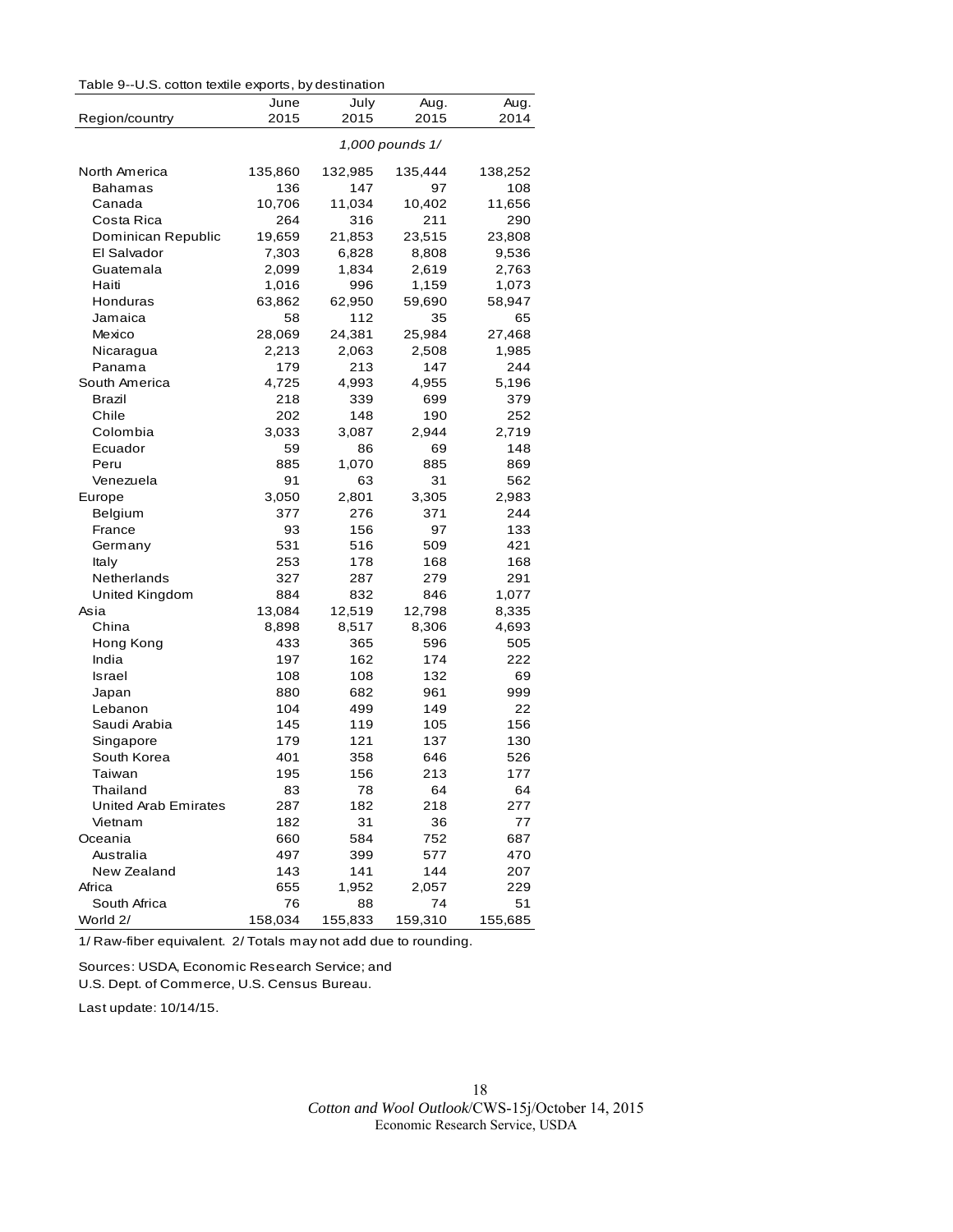|  | Table 9--U.S. cotton textile exports, by destination |  |  |
|--|------------------------------------------------------|--|--|
|--|------------------------------------------------------|--|--|

|                      | June    | July    | Aug.            | Aug.    |
|----------------------|---------|---------|-----------------|---------|
| Region/country       | 2015    | 2015    | 2015            | 2014    |
|                      |         |         | 1,000 pounds 1/ |         |
| North America        | 135,860 | 132,985 | 135,444         | 138,252 |
| Bahamas              | 136     | 147     | 97              | 108     |
| Canada               | 10,706  | 11,034  | 10,402          | 11,656  |
| Costa Rica           | 264     | 316     | 211             | 290     |
| Dominican Republic   | 19,659  | 21,853  | 23,515          | 23,808  |
| El Salvador          | 7,303   | 6,828   | 8,808           | 9,536   |
| Guatemala            | 2,099   | 1,834   | 2,619           | 2,763   |
| Haiti                | 1,016   | 996     | 1,159           | 1,073   |
| Honduras             | 63,862  | 62,950  | 59,690          | 58,947  |
| Jamaica              | 58      | 112     | 35              | 65      |
| Mexico               | 28,069  | 24,381  | 25,984          | 27,468  |
| Nicaragua            | 2,213   | 2,063   | 2,508           | 1,985   |
| Panama               | 179     | 213     | 147             | 244     |
| South America        | 4,725   | 4,993   | 4,955           | 5,196   |
| <b>Brazil</b>        | 218     | 339     | 699             | 379     |
| Chile                | 202     | 148     | 190             | 252     |
| Colombia             | 3,033   | 3,087   | 2,944           | 2,719   |
| Ecuador              | 59      | 86      | 69              | 148     |
| Peru                 | 885     | 1,070   | 885             | 869     |
| Venezuela            | 91      | 63      | 31              | 562     |
| Europe               | 3,050   | 2,801   | 3,305           | 2,983   |
| Belgium              | 377     | 276     | 371             | 244     |
| France               | 93      | 156     | 97              | 133     |
| Germany              | 531     | 516     | 509             | 421     |
| Italy                | 253     | 178     | 168             | 168     |
| Netherlands          | 327     | 287     | 279             | 291     |
| United Kingdom       | 884     | 832     | 846             | 1,077   |
| Asia                 | 13,084  | 12,519  | 12,798          | 8,335   |
| China                | 8,898   | 8,517   | 8,306           | 4,693   |
| Hong Kong            | 433     | 365     | 596             | 505     |
| India                | 197     | 162     | 174             | 222     |
| <b>Israel</b>        | 108     | 108     | 132             | 69      |
| Japan                | 880     | 682     | 961             | 999     |
| Lebanon              | 104     | 499     | 149             | 22      |
| Saudi Arabia         | 145     | 119     | 105             | 156     |
| Singapore            | 179     | 121     | 137             | 130     |
| South Korea          | 401     | 358     | 646             | 526     |
| Taiwan               | 195     | 156     | 213             | 177     |
| Thailand             | 83      | 78      | 64              | 64      |
| United Arab Emirates | 287     | 182     | 218             | 277     |
| Vietnam              | 182     | 31      | 36              | 77      |
| Oceania              | 660     | 584     | 752             | 687     |
| Australia            | 497     | 399     | 577             | 470     |
| New Zealand          | 143     | 141     | 144             | 207     |
| Africa               | 655     | 1,952   | 2,057           | 229     |
| South Africa         | 76      | 88      | 74              | 51      |
| World 2/             | 158,034 | 155,833 | 159,310         | 155,685 |

1/ Raw-fiber equivalent. 2/ Totals m ay not add due to rounding.

Sources: USDA, Economic Research Service; and

U.S. Dept. of Commerce, U.S. Census Bureau.